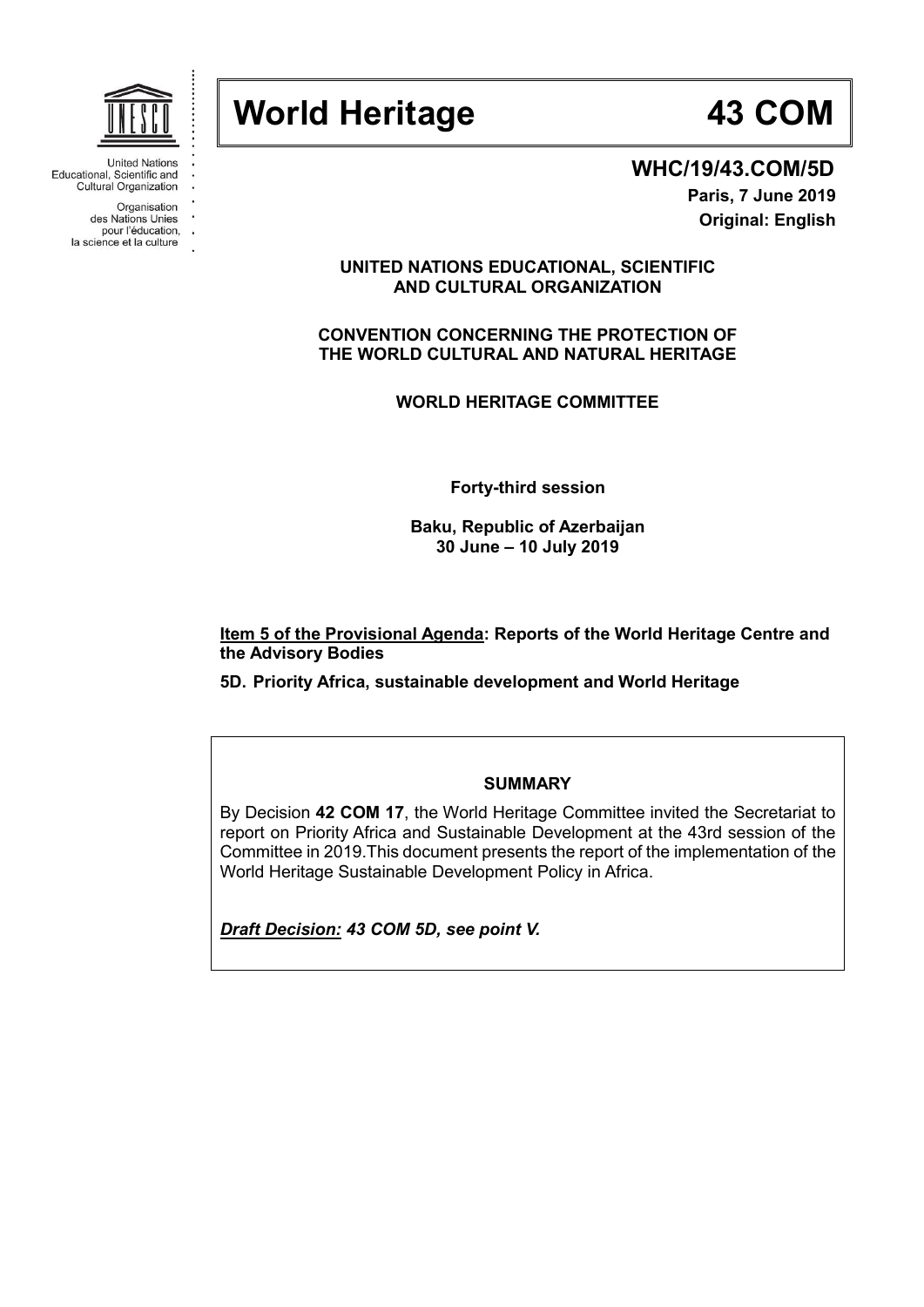

Educational, Scientific and Cultural Organization

Organisation

des Nations Unies pour l'éducation,

la science et la culture



**WHC/19/43.COM/5D Paris, 7 June 2019 Original: English**

## **UNITED NATIONS EDUCATIONAL, SCIENTIFIC AND CULTURAL ORGANIZATION**

**CONVENTION CONCERNING THE PROTECTION OF THE WORLD CULTURAL AND NATURAL HERITAGE**

**WORLD HERITAGE COMMITTEE**

**Forty-third session**

**Baku, Republic of Azerbaijan 30 June – 10 July 2019**

**Item 5 of the Provisional Agenda: Reports of the World Heritage Centre and the Advisory Bodies**

**5D. Priority Africa, sustainable development and World Heritage** 

#### **SUMMARY**

By Decision **42 COM 17**, the World Heritage Committee invited the Secretariat to report on Priority Africa and Sustainable Development at the 43rd session of the Committee in 2019.This document presents the report of the implementation of the World Heritage Sustainable Development Policy in Africa.

*Draft Decision: 43 COM 5D, see point V.*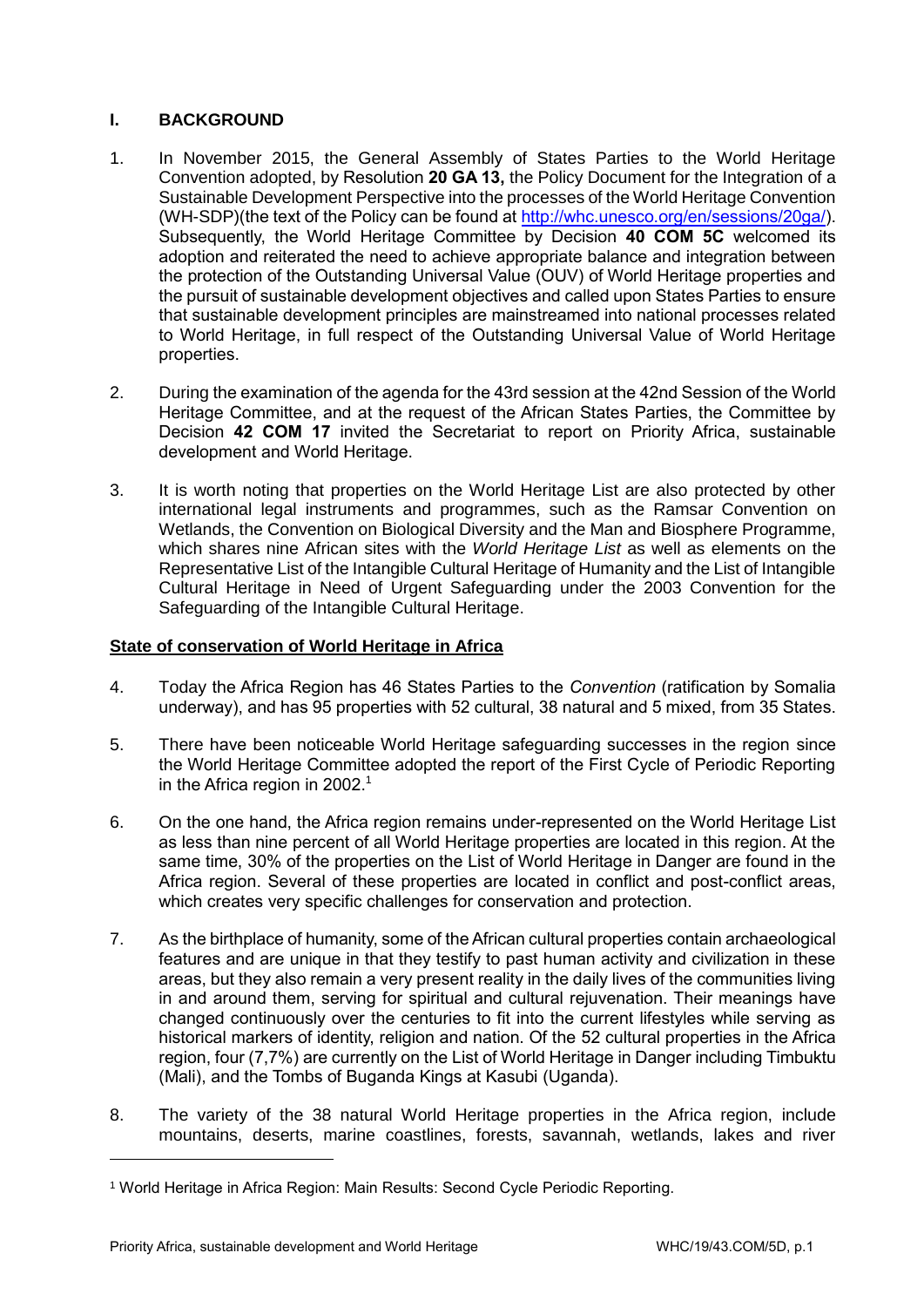# **I. BACKGROUND**

- 1. In November 2015, the General Assembly of States Parties to the World Heritage Convention adopted, by Resolution **20 GA 13,** the Policy Document for the Integration of a Sustainable Development Perspective into the processes of the World Heritage Convention (WH-SDP)(the text of the Policy can be found a[t http://whc.unesco.org/en/sessions/20ga/\)](http://whc.unesco.org/en/sessions/20ga/). Subsequently, the World Heritage Committee by Decision **40 COM 5C** welcomed its adoption and reiterated the need to achieve appropriate balance and integration between the protection of the Outstanding Universal Value (OUV) of World Heritage properties and the pursuit of sustainable development objectives and called upon States Parties to ensure that sustainable development principles are mainstreamed into national processes related to World Heritage, in full respect of the Outstanding Universal Value of World Heritage properties.
- 2. During the examination of the agenda for the 43rd session at the 42nd Session of the World Heritage Committee, and at the request of the African States Parties, the Committee by Decision **42 COM 17** invited the Secretariat to report on Priority Africa, sustainable development and World Heritage.
- 3. It is worth noting that properties on the World Heritage List are also protected by other international legal instruments and programmes, such as the Ramsar Convention on Wetlands, the Convention on Biological Diversity and the Man and Biosphere Programme, which shares nine African sites with the *World Heritage List* as well as elements on the Representative List of the Intangible Cultural Heritage of Humanity and the List of Intangible Cultural Heritage in Need of Urgent Safeguarding under the 2003 Convention for the Safeguarding of the Intangible Cultural Heritage.

## **State of conservation of World Heritage in Africa**

- 4. Today the Africa Region has 46 States Parties to the *Convention* (ratification by Somalia underway), and has 95 properties with 52 cultural, 38 natural and 5 mixed, from 35 States.
- 5. There have been noticeable World Heritage safeguarding successes in the region since the World Heritage Committee adopted the report of the First Cycle of Periodic Reporting in the Africa region in 2002. 1
- 6. On the one hand, the Africa region remains under-represented on the World Heritage List as less than nine percent of all World Heritage properties are located in this region. At the same time, 30% of the properties on the List of World Heritage in Danger are found in the Africa region. Several of these properties are located in conflict and post-conflict areas, which creates very specific challenges for conservation and protection.
- 7. As the birthplace of humanity, some of the African cultural properties contain archaeological features and are unique in that they testify to past human activity and civilization in these areas, but they also remain a very present reality in the daily lives of the communities living in and around them, serving for spiritual and cultural rejuvenation. Their meanings have changed continuously over the centuries to fit into the current lifestyles while serving as historical markers of identity, religion and nation. Of the 52 cultural properties in the Africa region, four (7,7%) are currently on the List of World Heritage in Danger including Timbuktu (Mali), and the Tombs of Buganda Kings at Kasubi (Uganda).
- 8. The variety of the 38 natural World Heritage properties in the Africa region, include mountains, deserts, marine coastlines, forests, savannah, wetlands, lakes and river

<sup>1</sup> World Heritage in Africa Region: Main Results: Second Cycle Periodic Reporting.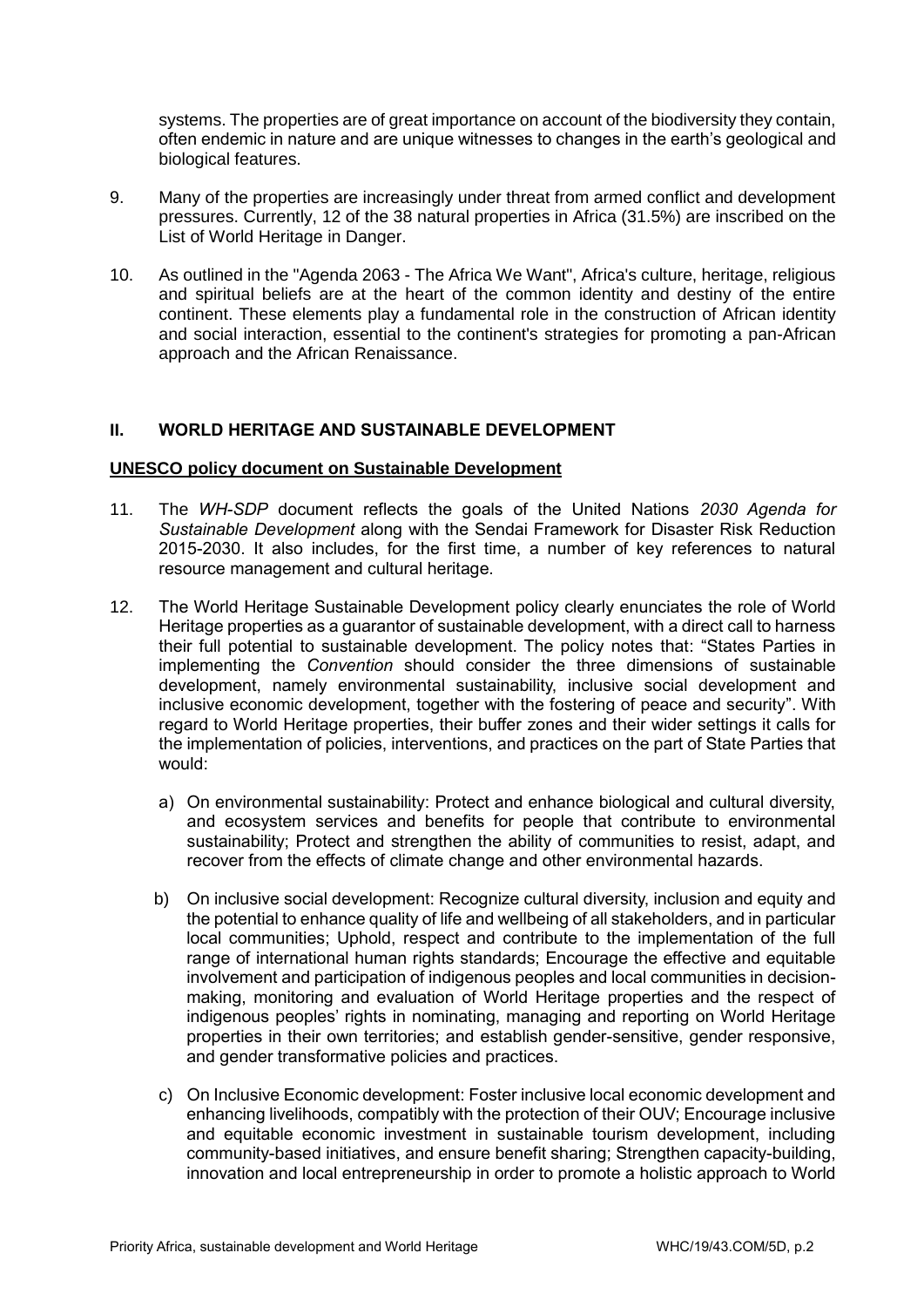systems. The properties are of great importance on account of the biodiversity they contain, often endemic in nature and are unique witnesses to changes in the earth's geological and biological features.

- 9. Many of the properties are increasingly under threat from armed conflict and development pressures. Currently, 12 of the 38 natural properties in Africa (31.5%) are inscribed on the List of World Heritage in Danger.
- 10. As outlined in the "Agenda 2063 The Africa We Want", Africa's culture, heritage, religious and spiritual beliefs are at the heart of the common identity and destiny of the entire continent. These elements play a fundamental role in the construction of African identity and social interaction, essential to the continent's strategies for promoting a pan-African approach and the African Renaissance.

## **II. WORLD HERITAGE AND SUSTAINABLE DEVELOPMENT**

#### **UNESCO policy document on Sustainable Development**

- 11. The *WH-SDP* document reflects the goals of the United Nations *2030 Agenda for Sustainable Development* along with the Sendai Framework for Disaster Risk Reduction 2015-2030. It also includes, for the first time, a number of key references to natural resource management and cultural heritage.
- 12. The World Heritage Sustainable Development policy clearly enunciates the role of World Heritage properties as a guarantor of sustainable development, with a direct call to harness their full potential to sustainable development. The policy notes that: "States Parties in implementing the *Convention* should consider the three dimensions of sustainable development, namely environmental sustainability, inclusive social development and inclusive economic development, together with the fostering of peace and security". With regard to World Heritage properties, their buffer zones and their wider settings it calls for the implementation of policies, interventions, and practices on the part of State Parties that would:
	- a) On environmental sustainability: Protect and enhance biological and cultural diversity, and ecosystem services and benefits for people that contribute to environmental sustainability; Protect and strengthen the ability of communities to resist, adapt, and recover from the effects of climate change and other environmental hazards.
	- b) On inclusive social development: Recognize cultural diversity, inclusion and equity and the potential to enhance quality of life and wellbeing of all stakeholders, and in particular local communities; Uphold, respect and contribute to the implementation of the full range of international human rights standards; Encourage the effective and equitable involvement and participation of indigenous peoples and local communities in decisionmaking, monitoring and evaluation of World Heritage properties and the respect of indigenous peoples' rights in nominating, managing and reporting on World Heritage properties in their own territories; and establish gender-sensitive, gender responsive, and gender transformative policies and practices.
	- c) On Inclusive Economic development: Foster inclusive local economic development and enhancing livelihoods, compatibly with the protection of their OUV; Encourage inclusive and equitable economic investment in sustainable tourism development, including community-based initiatives, and ensure benefit sharing; Strengthen capacity-building, innovation and local entrepreneurship in order to promote a holistic approach to World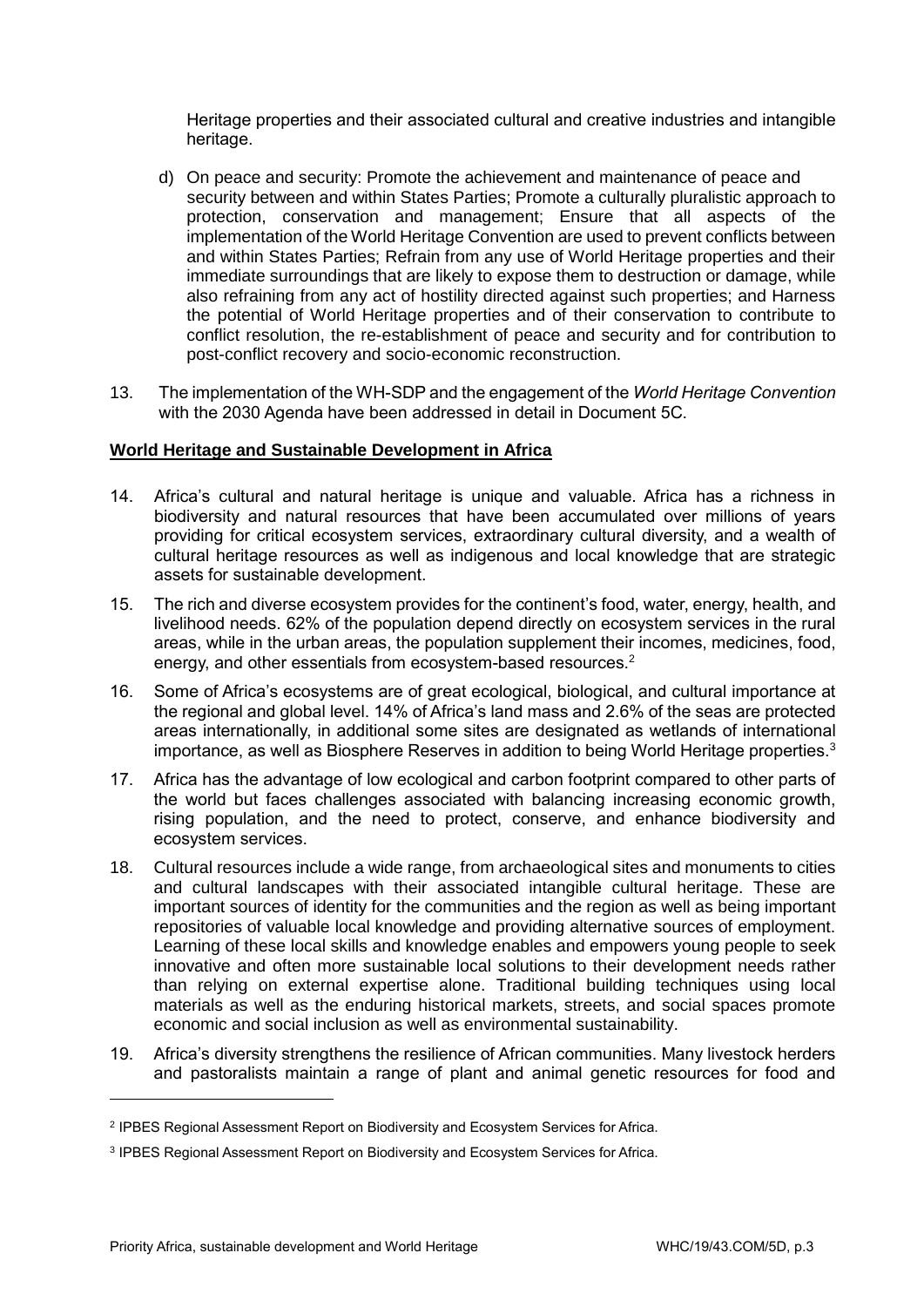Heritage properties and their associated cultural and creative industries and intangible heritage.

- d) On peace and security: Promote the achievement and maintenance of peace and security between and within States Parties; Promote a culturally pluralistic approach to protection, conservation and management; Ensure that all aspects of the implementation of the World Heritage Convention are used to prevent conflicts between and within States Parties; Refrain from any use of World Heritage properties and their immediate surroundings that are likely to expose them to destruction or damage, while also refraining from any act of hostility directed against such properties; and Harness the potential of World Heritage properties and of their conservation to contribute to conflict resolution, the re-establishment of peace and security and for contribution to post-conflict recovery and socio-economic reconstruction.
- 13. The implementation of the WH-SDP and the engagement of the *World Heritage Convention* with the 2030 Agenda have been addressed in detail in Document 5C.

## **World Heritage and Sustainable Development in Africa**

- 14. Africa's cultural and natural heritage is unique and valuable. Africa has a richness in biodiversity and natural resources that have been accumulated over millions of years providing for critical ecosystem services, extraordinary cultural diversity, and a wealth of cultural heritage resources as well as indigenous and local knowledge that are strategic assets for sustainable development.
- 15. The rich and diverse ecosystem provides for the continent's food, water, energy, health, and livelihood needs. 62% of the population depend directly on ecosystem services in the rural areas, while in the urban areas, the population supplement their incomes, medicines, food, energy, and other essentials from ecosystem-based resources.<sup>2</sup>
- 16. Some of Africa's ecosystems are of great ecological, biological, and cultural importance at the regional and global level. 14% of Africa's land mass and 2.6% of the seas are protected areas internationally, in additional some sites are designated as wetlands of international importance, as well as Biosphere Reserves in addition to being World Heritage properties.<sup>3</sup>
- 17. Africa has the advantage of low ecological and carbon footprint compared to other parts of the world but faces challenges associated with balancing increasing economic growth, rising population, and the need to protect, conserve, and enhance biodiversity and ecosystem services.
- 18. Cultural resources include a wide range, from archaeological sites and monuments to cities and cultural landscapes with their associated intangible cultural heritage. These are important sources of identity for the communities and the region as well as being important repositories of valuable local knowledge and providing alternative sources of employment. Learning of these local skills and knowledge enables and empowers young people to seek innovative and often more sustainable local solutions to their development needs rather than relying on external expertise alone. Traditional building techniques using local materials as well as the enduring historical markets, streets, and social spaces promote economic and social inclusion as well as environmental sustainability.
- 19. Africa's diversity strengthens the resilience of African communities. Many livestock herders and pastoralists maintain a range of plant and animal genetic resources for food and

<sup>2</sup> IPBES Regional Assessment Report on Biodiversity and Ecosystem Services for Africa.

<sup>3</sup> IPBES Regional Assessment Report on Biodiversity and Ecosystem Services for Africa.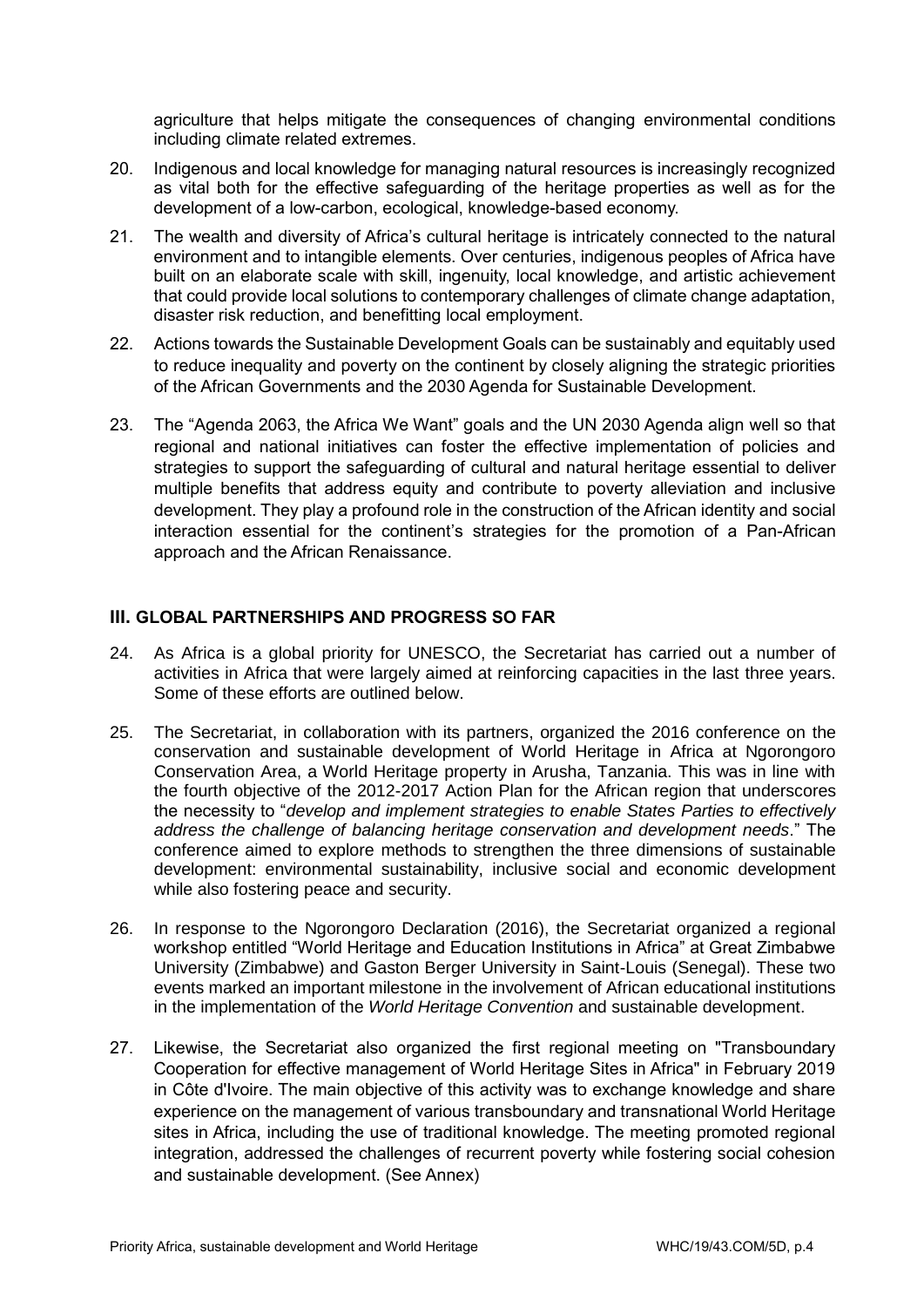agriculture that helps mitigate the consequences of changing environmental conditions including climate related extremes.

- 20. Indigenous and local knowledge for managing natural resources is increasingly recognized as vital both for the effective safeguarding of the heritage properties as well as for the development of a low-carbon, ecological, knowledge-based economy.
- 21. The wealth and diversity of Africa's cultural heritage is intricately connected to the natural environment and to intangible elements. Over centuries, indigenous peoples of Africa have built on an elaborate scale with skill, ingenuity, local knowledge, and artistic achievement that could provide local solutions to contemporary challenges of climate change adaptation, disaster risk reduction, and benefitting local employment.
- 22. Actions towards the Sustainable Development Goals can be sustainably and equitably used to reduce inequality and poverty on the continent by closely aligning the strategic priorities of the African Governments and the 2030 Agenda for Sustainable Development.
- 23. The "Agenda 2063, the Africa We Want" goals and the UN 2030 Agenda align well so that regional and national initiatives can foster the effective implementation of policies and strategies to support the safeguarding of cultural and natural heritage essential to deliver multiple benefits that address equity and contribute to poverty alleviation and inclusive development. They play a profound role in the construction of the African identity and social interaction essential for the continent's strategies for the promotion of a Pan-African approach and the African Renaissance.

# **III. GLOBAL PARTNERSHIPS AND PROGRESS SO FAR**

- 24. As Africa is a global priority for UNESCO, the Secretariat has carried out a number of activities in Africa that were largely aimed at reinforcing capacities in the last three years. Some of these efforts are outlined below.
- 25. The Secretariat, in collaboration with its partners, organized the 2016 conference on the conservation and sustainable development of World Heritage in Africa at Ngorongoro Conservation Area, a World Heritage property in Arusha, Tanzania. This was in line with the fourth objective of the 2012-2017 Action Plan for the African region that underscores the necessity to "*develop and implement strategies to enable States Parties to effectively address the challenge of balancing heritage conservation and development needs*." The conference aimed to explore methods to strengthen the three dimensions of sustainable development: environmental sustainability, inclusive social and economic development while also fostering peace and security.
- 26. In response to the [Ngorongoro Declaration](https://whc.unesco.org/document/142094) (2016), the Secretariat organized a regional workshop entitled "World Heritage and Education Institutions in Africa" at Great Zimbabwe University (Zimbabwe) and Gaston Berger University in Saint-Louis (Senegal). These two events marked an important milestone in the involvement of African educational institutions in the implementation of the *World Heritage Convention* and sustainable development.
- 27. Likewise, the Secretariat also organized the first regional meeting on "Transboundary Cooperation for effective management of World Heritage Sites in Africa" in February 2019 in Côte d'Ivoire. The main objective of this activity was to exchange knowledge and share experience on the management of various transboundary and transnational World Heritage sites in Africa, including the use of traditional knowledge. The meeting promoted regional integration, addressed the challenges of recurrent poverty while fostering social cohesion and sustainable development. (See Annex)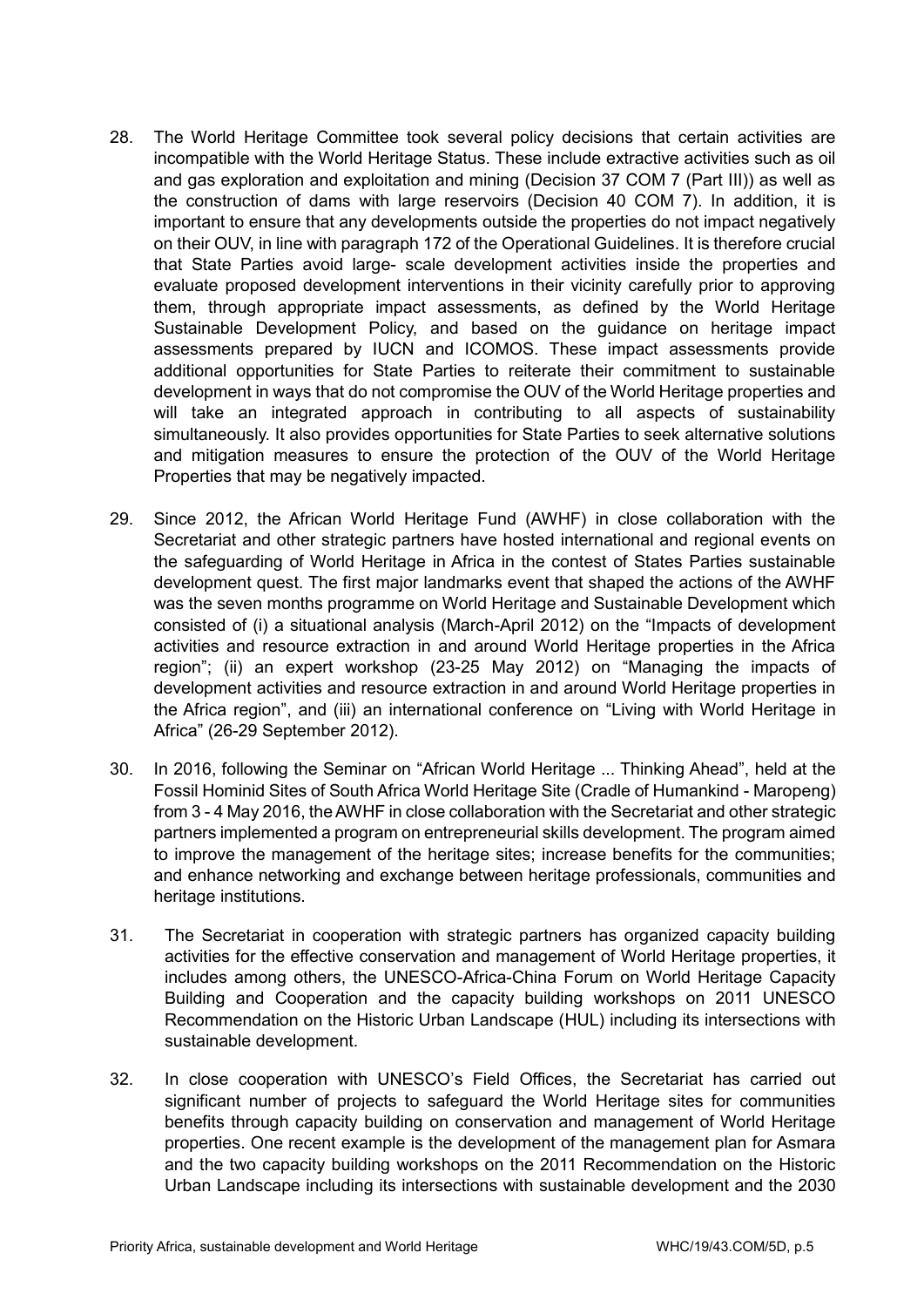- 28. The World Heritage Committee took several policy decisions that certain activities are incompatible with the World Heritage Status. These include extractive activities such as oil and gas exploration and exploitation and mining (Decision 37 COM 7 (Part III)) as well as the construction of dams with large reservoirs (Decision 40 COM 7). In addition, it is important to ensure that any developments outside the properties do not impact negatively on their OUV, in line with paragraph 172 of the Operational Guidelines. It is therefore crucial that State Parties avoid large- scale development activities inside the properties and evaluate proposed development interventions in their vicinity carefully prior to approving them, through appropriate impact assessments, as defined by the World Heritage Sustainable Development Policy, and based on the guidance on heritage impact assessments prepared by IUCN and ICOMOS. These impact assessments provide additional opportunities for State Parties to reiterate their commitment to sustainable development in ways that do not compromise the OUV of the World Heritage properties and will take an integrated approach in contributing to all aspects of sustainability simultaneously. It also provides opportunities for State Parties to seek alternative solutions and mitigation measures to ensure the protection of the OUV of the World Heritage Properties that may be negatively impacted.
- 29. Since 2012, the African World Heritage Fund (AWHF) in close collaboration with the Secretariat and other strategic partners have hosted international and regional events on the safeguarding of World Heritage in Africa in the contest of States Parties sustainable development quest. The first major landmarks event that shaped the actions of the AWHF was the seven months programme on World Heritage and Sustainable Development which consisted of (i) a situational analysis (March-April 2012) on the "Impacts of development activities and resource extraction in and around World Heritage properties in the Africa region"; (ii) an expert workshop (23-25 May 2012) on "Managing the impacts of development activities and resource extraction in and around World Heritage properties in the Africa region", and (iii) an international conference on "Living with World Heritage in Africa" (26-29 September 2012).
- 30. In 2016, following the Seminar on "African World Heritage ... Thinking Ahead", held at the Fossil Hominid Sites of South Africa World Heritage Site (Cradle of Humankind - Maropeng) from 3 - 4 May 2016, the AWHF in close collaboration with the Secretariat and other strategic partners implemented a program on entrepreneurial skills development. The program aimed to improve the management of the heritage sites; increase benefits for the communities; and enhance networking and exchange between heritage professionals, communities and heritage institutions.
- 31. The Secretariat in cooperation with strategic partners has organized capacity building activities for the effective conservation and management of World Heritage properties, it includes among others, the UNESCO-Africa-China Forum on World Heritage Capacity Building and Cooperation and the capacity building workshops on 2011 UNESCO Recommendation on the Historic Urban Landscape (HUL) including its intersections with sustainable development.
- 32. In close cooperation with UNESCO's Field Offices, the Secretariat has carried out significant number of projects to safeguard the World Heritage sites for communities benefits through capacity building on conservation and management of World Heritage properties. One recent example is the development of the management plan for Asmara and the two capacity building workshops on the 2011 Recommendation on the Historic Urban Landscape including its intersections with sustainable development and the 2030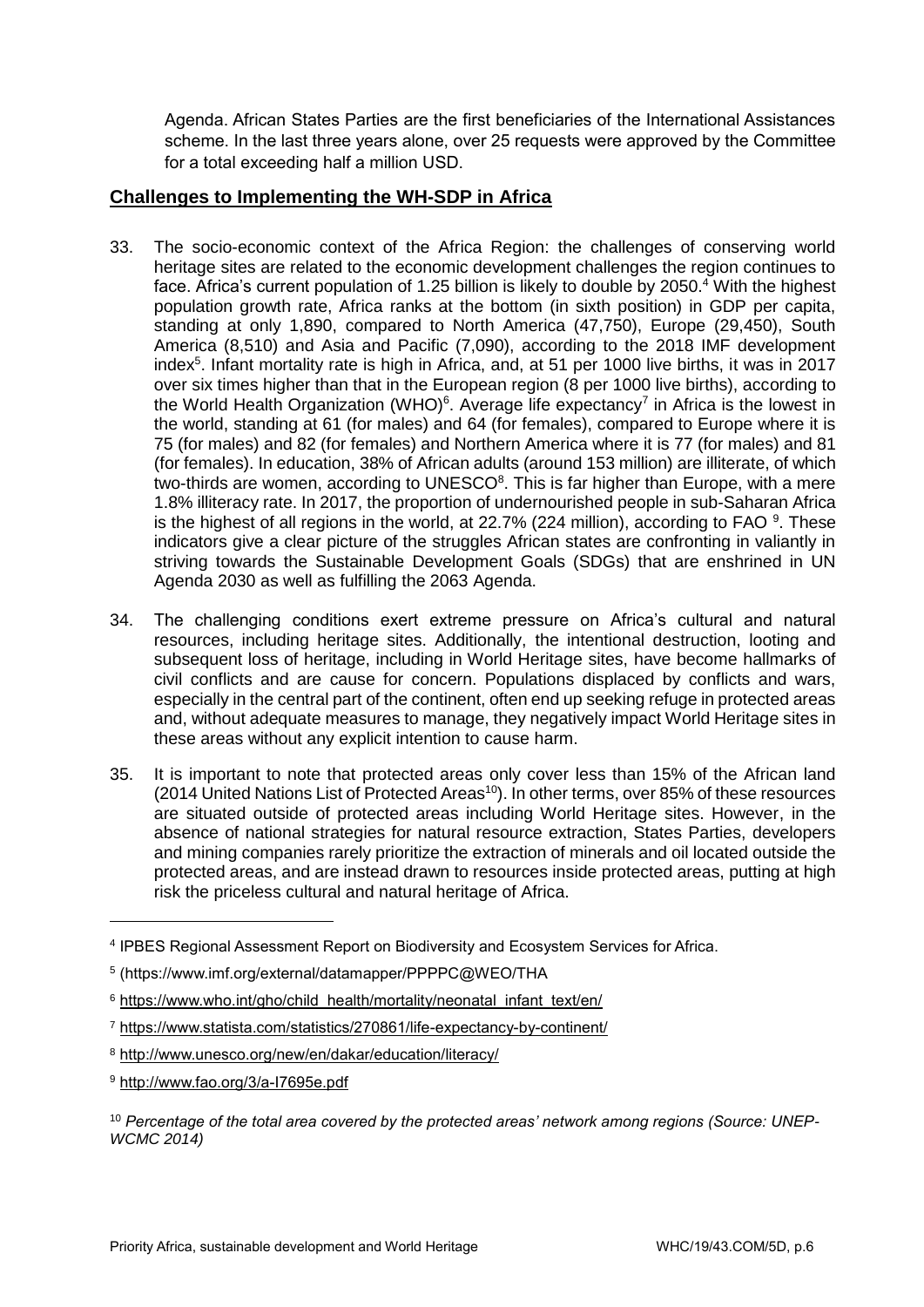Agenda. African States Parties are the first beneficiaries of the International Assistances scheme. In the last three years alone, over 25 requests were approved by the Committee for a total exceeding half a million USD.

# **Challenges to Implementing the WH-SDP in Africa**

- 33. The socio-economic context of the Africa Region: the challenges of conserving world heritage sites are related to the economic development challenges the region continues to face. Africa's current population of 1.25 billion is likely to double by 2050.<sup>4</sup> With the highest population growth rate, Africa ranks at the bottom (in sixth position) in GDP per capita, standing at only 1,890, compared to North America (47,750), Europe (29,450), South America (8,510) and Asia and Pacific (7,090), according to the 2018 IMF development index<sup>5</sup>. Infant mortality rate is high in Africa, and, at 51 per 1000 live births, it was in 2017 over six times higher than that in the European region (8 per 1000 live births), according to the World Health Organization (WHO) $6$ . Average life expectancy<sup>7</sup> in Africa is the lowest in the world, standing at 61 (for males) and 64 (for females), compared to Europe where it is 75 (for males) and 82 (for females) and Northern America where it is 77 (for males) and 81 (for females). In education, 38% of African adults (around 153 million) are illiterate, of which two-thirds are women, according to UNESCO $8$ . This is far higher than Europe, with a mere 1.8% illiteracy rate. In 2017, the proportion of undernourished people in sub-Saharan Africa is the highest of all regions in the world, at 22.7% (224 million), according to FAO  $9$ . These indicators give a clear picture of the struggles African states are confronting in valiantly in striving towards the Sustainable Development Goals (SDGs) that are enshrined in UN Agenda 2030 as well as fulfilling the 2063 Agenda.
- 34. The challenging conditions exert extreme pressure on Africa's cultural and natural resources, including heritage sites. Additionally, the intentional destruction, looting and subsequent loss of heritage, including in World Heritage sites, have become hallmarks of civil conflicts and are cause for concern. Populations displaced by conflicts and wars, especially in the central part of the continent, often end up seeking refuge in protected areas and, without adequate measures to manage, they negatively impact World Heritage sites in these areas without any explicit intention to cause harm.
- 35. It is important to note that protected areas only cover less than 15% of the African land (2014 United Nations List of Protected Areas<sup>10</sup>). In other terms, over 85% of these resources are situated outside of protected areas including World Heritage sites. However, in the absence of national strategies for natural resource extraction, States Parties, developers and mining companies rarely prioritize the extraction of minerals and oil located outside the protected areas, and are instead drawn to resources inside protected areas, putting at high risk the priceless cultural and natural heritage of Africa.

<sup>4</sup> IPBES Regional Assessment Report on Biodiversity and Ecosystem Services for Africa.

<sup>5</sup> [\(https://www.imf.org/external/datamapper/PPPPC@WEO/THA](https://www.imf.org/external/datamapper/PPPPC@WEO/THA)

<sup>&</sup>lt;sup>6</sup> [https://www.who.int/gho/child\\_health/mortality/neonatal\\_infant\\_text/en/](https://www.who.int/gho/child_health/mortality/neonatal_infant_text/en/)

<sup>7</sup> <https://www.statista.com/statistics/270861/life-expectancy-by-continent/>

<sup>8</sup> <http://www.unesco.org/new/en/dakar/education/literacy/>

<sup>9</sup> <http://www.fao.org/3/a-I7695e.pdf>

<sup>10</sup> *Percentage of the total area covered by the protected areas' network among regions (Source: UNEP-WCMC 2014)*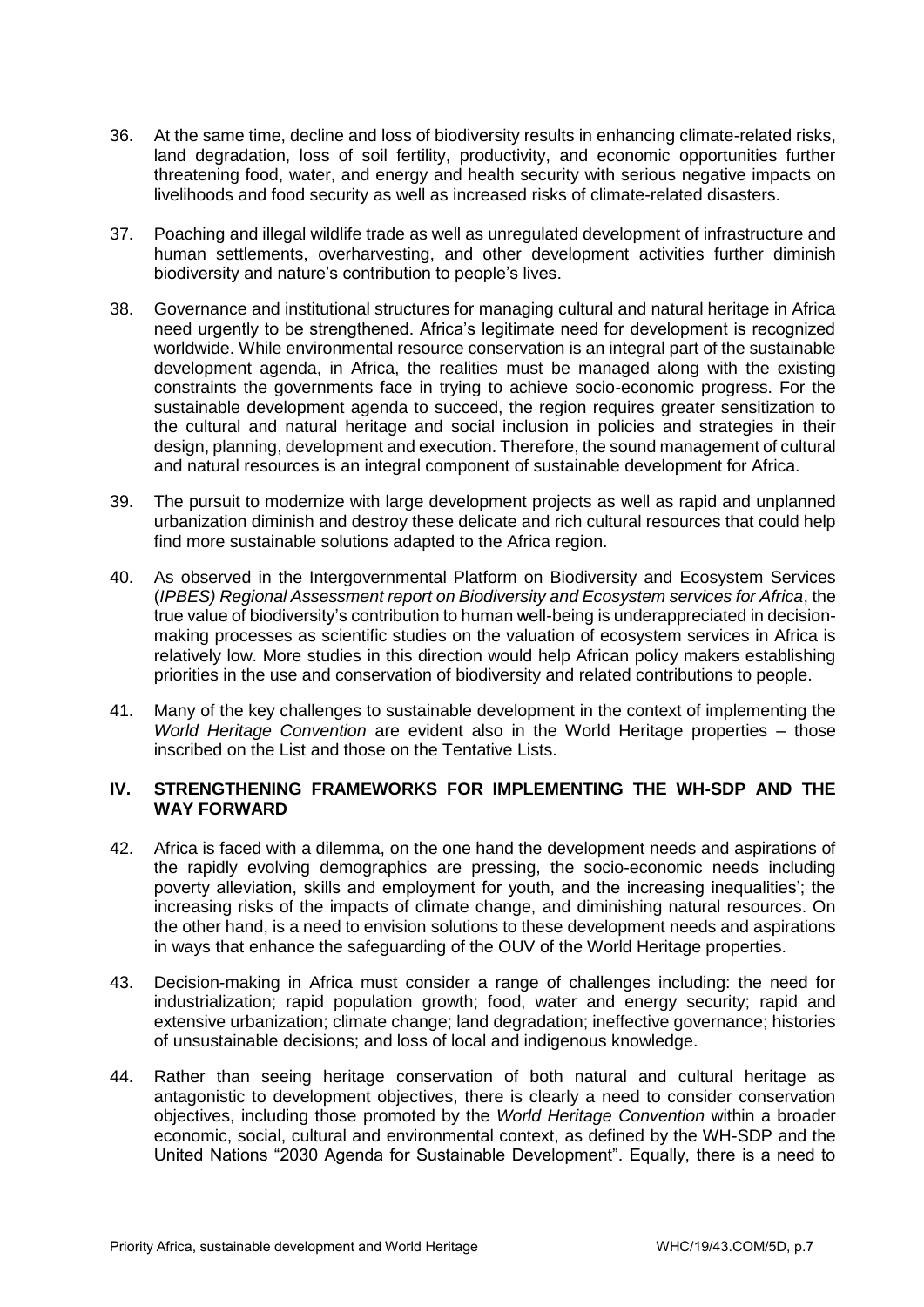- 36. At the same time, decline and loss of biodiversity results in enhancing climate-related risks, land degradation, loss of soil fertility, productivity, and economic opportunities further threatening food, water, and energy and health security with serious negative impacts on livelihoods and food security as well as increased risks of climate-related disasters.
- 37. Poaching and illegal wildlife trade as well as unregulated development of infrastructure and human settlements, overharvesting, and other development activities further diminish biodiversity and nature's contribution to people's lives.
- 38. Governance and institutional structures for managing cultural and natural heritage in Africa need urgently to be strengthened. Africa's legitimate need for development is recognized worldwide. While environmental resource conservation is an integral part of the sustainable development agenda, in Africa, the realities must be managed along with the existing constraints the governments face in trying to achieve socio-economic progress. For the sustainable development agenda to succeed, the region requires greater sensitization to the cultural and natural heritage and social inclusion in policies and strategies in their design, planning, development and execution. Therefore, the sound management of cultural and natural resources is an integral component of sustainable development for Africa.
- 39. The pursuit to modernize with large development projects as well as rapid and unplanned urbanization diminish and destroy these delicate and rich cultural resources that could help find more sustainable solutions adapted to the Africa region.
- 40. As observed in the Intergovernmental Platform on Biodiversity and Ecosystem Services (*IPBES) Regional Assessment report on Biodiversity and Ecosystem services for Africa*, the true value of biodiversity's contribution to human well-being is underappreciated in decisionmaking processes as scientific studies on the valuation of ecosystem services in Africa is relatively low. More studies in this direction would help African policy makers establishing priorities in the use and conservation of biodiversity and related contributions to people.
- 41. Many of the key challenges to sustainable development in the context of implementing the *World Heritage Convention* are evident also in the World Heritage properties – those inscribed on the List and those on the Tentative Lists.

## **IV. STRENGTHENING FRAMEWORKS FOR IMPLEMENTING THE WH-SDP AND THE WAY FORWARD**

- 42. Africa is faced with a dilemma, on the one hand the development needs and aspirations of the rapidly evolving demographics are pressing, the socio-economic needs including poverty alleviation, skills and employment for youth, and the increasing inequalities'; the increasing risks of the impacts of climate change, and diminishing natural resources. On the other hand, is a need to envision solutions to these development needs and aspirations in ways that enhance the safeguarding of the OUV of the World Heritage properties.
- 43. Decision-making in Africa must consider a range of challenges including: the need for industrialization; rapid population growth; food, water and energy security; rapid and extensive urbanization; climate change; land degradation; ineffective governance; histories of unsustainable decisions; and loss of local and indigenous knowledge.
- 44. Rather than seeing heritage conservation of both natural and cultural heritage as antagonistic to development objectives, there is clearly a need to consider conservation objectives, including those promoted by the *World Heritage Convention* within a broader economic, social, cultural and environmental context, as defined by the WH-SDP and the United Nations "2030 Agenda for Sustainable Development". Equally, there is a need to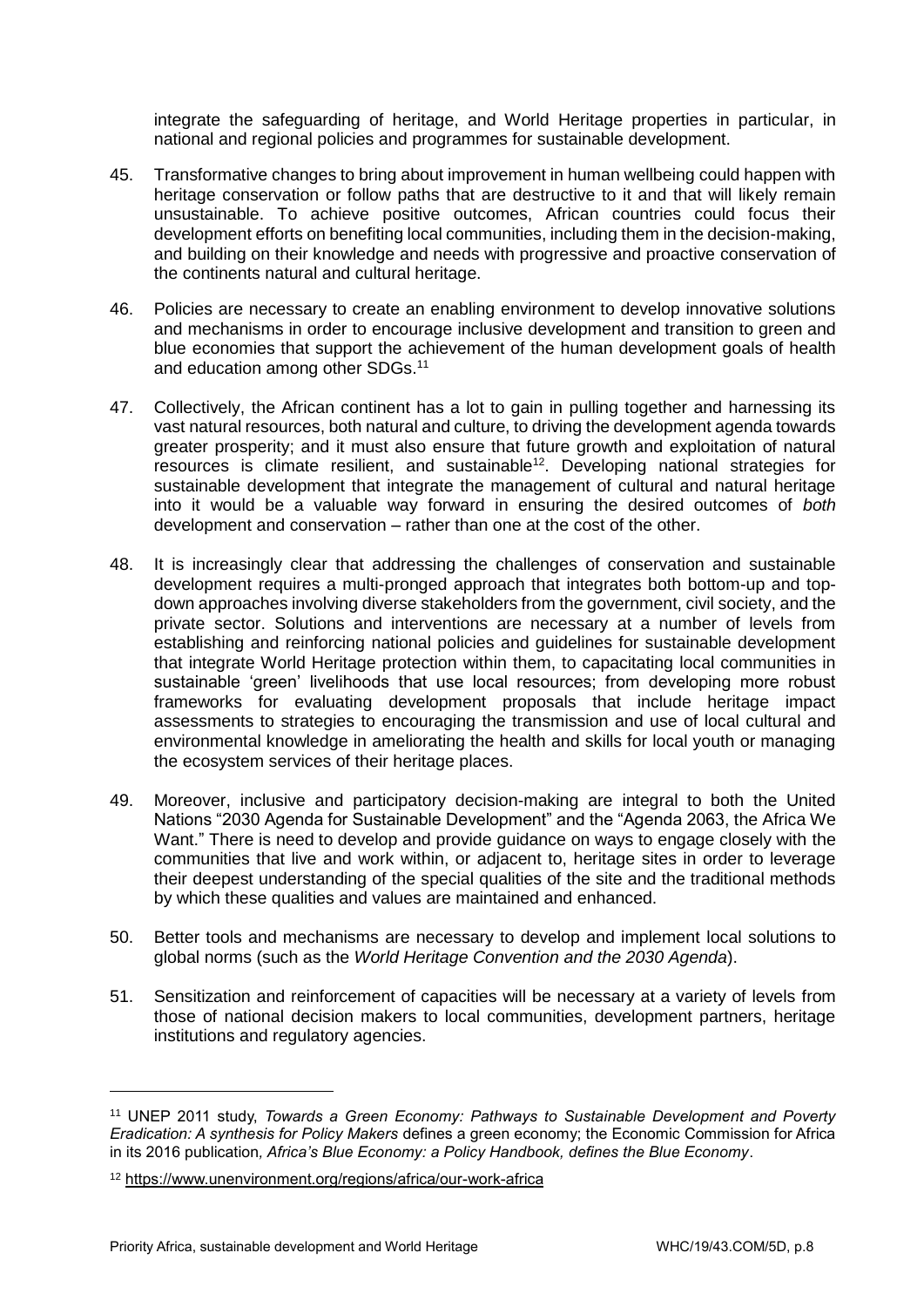integrate the safeguarding of heritage, and World Heritage properties in particular, in national and regional policies and programmes for sustainable development.

- 45. Transformative changes to bring about improvement in human wellbeing could happen with heritage conservation or follow paths that are destructive to it and that will likely remain unsustainable. To achieve positive outcomes, African countries could focus their development efforts on benefiting local communities, including them in the decision-making, and building on their knowledge and needs with progressive and proactive conservation of the continents natural and cultural heritage.
- 46. Policies are necessary to create an enabling environment to develop innovative solutions and mechanisms in order to encourage inclusive development and transition to green and blue economies that support the achievement of the human development goals of health and education among other SDGs.<sup>11</sup>
- 47. Collectively, the African continent has a lot to gain in pulling together and harnessing its vast natural resources, both natural and culture, to driving the development agenda towards greater prosperity; and it must also ensure that future growth and exploitation of natural resources is climate resilient, and sustainable<sup>12</sup>. Developing national strategies for sustainable development that integrate the management of cultural and natural heritage into it would be a valuable way forward in ensuring the desired outcomes of *both* development and conservation – rather than one at the cost of the other.
- 48. It is increasingly clear that addressing the challenges of conservation and sustainable development requires a multi-pronged approach that integrates both bottom-up and topdown approaches involving diverse stakeholders from the government, civil society, and the private sector. Solutions and interventions are necessary at a number of levels from establishing and reinforcing national policies and guidelines for sustainable development that integrate World Heritage protection within them, to capacitating local communities in sustainable 'green' livelihoods that use local resources; from developing more robust frameworks for evaluating development proposals that include heritage impact assessments to strategies to encouraging the transmission and use of local cultural and environmental knowledge in ameliorating the health and skills for local youth or managing the ecosystem services of their heritage places.
- 49. Moreover, inclusive and participatory decision-making are integral to both the United Nations "2030 Agenda for Sustainable Development" and the "Agenda 2063, the Africa We Want." There is need to develop and provide guidance on ways to engage closely with the communities that live and work within, or adjacent to, heritage sites in order to leverage their deepest understanding of the special qualities of the site and the traditional methods by which these qualities and values are maintained and enhanced.
- 50. Better tools and mechanisms are necessary to develop and implement local solutions to global norms (such as the *World Heritage Convention and the 2030 Agenda*).
- 51. Sensitization and reinforcement of capacities will be necessary at a variety of levels from those of national decision makers to local communities, development partners, heritage institutions and regulatory agencies.

<sup>11</sup> UNEP 2011 study, *Towards a Green Economy: Pathways to Sustainable Development and Poverty Eradication: A synthesis for Policy Makers* defines a green economy; the Economic Commission for Africa in its 2016 publication*, Africa's Blue Economy: a Policy Handbook, defines the Blue Economy*.

<sup>12</sup> <https://www.unenvironment.org/regions/africa/our-work-africa>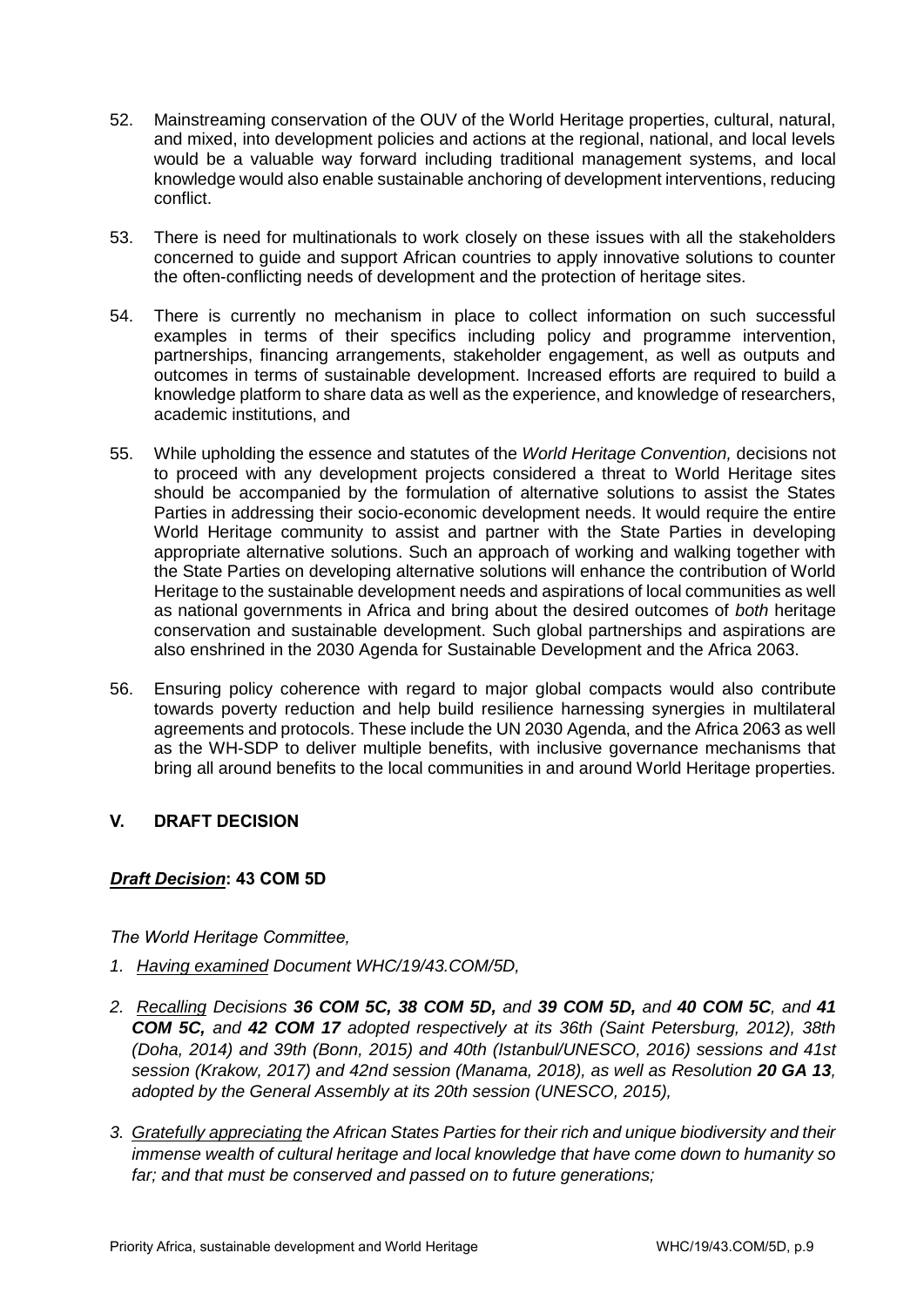- 52. Mainstreaming conservation of the OUV of the World Heritage properties, cultural, natural, and mixed, into development policies and actions at the regional, national, and local levels would be a valuable way forward including traditional management systems, and local knowledge would also enable sustainable anchoring of development interventions, reducing conflict.
- 53. There is need for multinationals to work closely on these issues with all the stakeholders concerned to guide and support African countries to apply innovative solutions to counter the often-conflicting needs of development and the protection of heritage sites.
- 54. There is currently no mechanism in place to collect information on such successful examples in terms of their specifics including policy and programme intervention, partnerships, financing arrangements, stakeholder engagement, as well as outputs and outcomes in terms of sustainable development. Increased efforts are required to build a knowledge platform to share data as well as the experience, and knowledge of researchers, academic institutions, and
- 55. While upholding the essence and statutes of the *World Heritage Convention,* decisions not to proceed with any development projects considered a threat to World Heritage sites should be accompanied by the formulation of alternative solutions to assist the States Parties in addressing their socio-economic development needs. It would require the entire World Heritage community to assist and partner with the State Parties in developing appropriate alternative solutions. Such an approach of working and walking together with the State Parties on developing alternative solutions will enhance the contribution of World Heritage to the sustainable development needs and aspirations of local communities as well as national governments in Africa and bring about the desired outcomes of *both* heritage conservation and sustainable development. Such global partnerships and aspirations are also enshrined in the 2030 Agenda for Sustainable Development and the Africa 2063.
- 56. Ensuring policy coherence with regard to major global compacts would also contribute towards poverty reduction and help build resilience harnessing synergies in multilateral agreements and protocols. These include the UN 2030 Agenda, and the Africa 2063 as well as the WH-SDP to deliver multiple benefits, with inclusive governance mechanisms that bring all around benefits to the local communities in and around World Heritage properties.

# **V. DRAFT DECISION**

# *Draft Decision***: 43 COM 5D**

*The World Heritage Committee,* 

- *1. Having examined Document WHC/19/43.COM/5D,*
- *2. Recalling Decisions 36 COM 5C, 38 COM 5D, and 39 COM 5D, and 40 COM 5C, and 41 COM 5C, and 42 COM 17 adopted respectively at its 36th (Saint Petersburg, 2012), 38th (Doha, 2014) and 39th (Bonn, 2015) and 40th (Istanbul/UNESCO, 2016) sessions and 41st session (Krakow, 2017) and 42nd session (Manama, 2018), as well as Resolution 20 GA 13, adopted by the General Assembly at its 20th session (UNESCO, 2015),*
- *3. Gratefully appreciating the African States Parties for their rich and unique biodiversity and their immense wealth of cultural heritage and local knowledge that have come down to humanity so far; and that must be conserved and passed on to future generations;*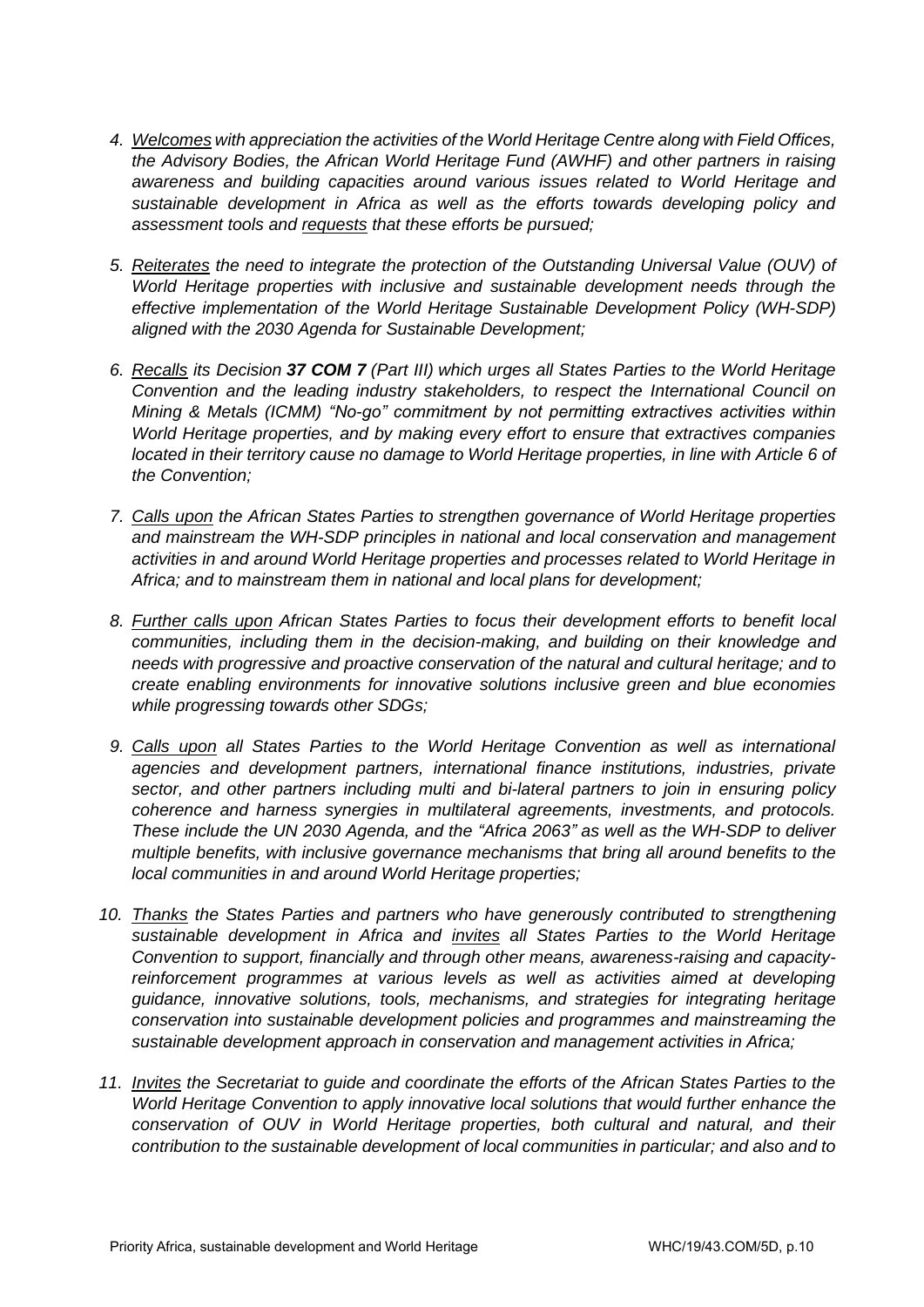- *4. Welcomes with appreciation the activities of the World Heritage Centre along with Field Offices, the Advisory Bodies, the African World Heritage Fund (AWHF) and other partners in raising awareness and building capacities around various issues related to World Heritage and sustainable development in Africa as well as the efforts towards developing policy and assessment tools and requests that these efforts be pursued;*
- *5. Reiterates the need to integrate the protection of the Outstanding Universal Value (OUV) of World Heritage properties with inclusive and sustainable development needs through the effective implementation of the World Heritage Sustainable Development Policy (WH-SDP) aligned with the 2030 Agenda for Sustainable Development;*
- *6. Recalls its Decision [37 COM 7](https://whc.unesco.org/en/decisions/5018/) (Part III) which urges all States Parties to the World Heritage Convention and the leading industry stakeholders, to respect the International Council on Mining & Metals (ICMM) "No-go" commitment by not permitting extractives activities within World Heritage properties, and by making every effort to ensure that extractives companies located in their territory cause no damage to World Heritage properties, in line with Article 6 of [the Convention;](https://whc.unesco.org/en/conventiontext/)*
- *7. Calls upon the African States Parties to strengthen governance of World Heritage properties and mainstream the WH-SDP principles in national and local conservation and management activities in and around World Heritage properties and processes related to World Heritage in Africa; and to mainstream them in national and local plans for development;*
- *8. Further calls upon African States Parties to focus their development efforts to benefit local communities, including them in the decision-making, and building on their knowledge and needs with progressive and proactive conservation of the natural and cultural heritage; and to create enabling environments for innovative solutions inclusive green and blue economies while progressing towards other SDGs;*
- *9. Calls upon all States Parties to the World Heritage Convention as well as international agencies and development partners, international finance institutions, industries, private sector, and other partners including multi and bi-lateral partners to join in ensuring policy coherence and harness synergies in multilateral agreements, investments, and protocols. These include the UN 2030 Agenda, and the "Africa 2063" as well as the WH-SDP to deliver multiple benefits, with inclusive governance mechanisms that bring all around benefits to the local communities in and around World Heritage properties;*
- *10. Thanks the States Parties and partners who have generously contributed to strengthening sustainable development in Africa and invites all States Parties to the World Heritage Convention to support, financially and through other means, awareness-raising and capacity*reinforcement programmes at various levels as well as activities aimed at developing *guidance, innovative solutions, tools, mechanisms, and strategies for integrating heritage conservation into sustainable development policies and programmes and mainstreaming the sustainable development approach in conservation and management activities in Africa;*
- *11. Invites the Secretariat to guide and coordinate the efforts of the African States Parties to the World Heritage Convention to apply innovative local solutions that would further enhance the conservation of OUV in World Heritage properties, both cultural and natural, and their contribution to the sustainable development of local communities in particular; and also and to*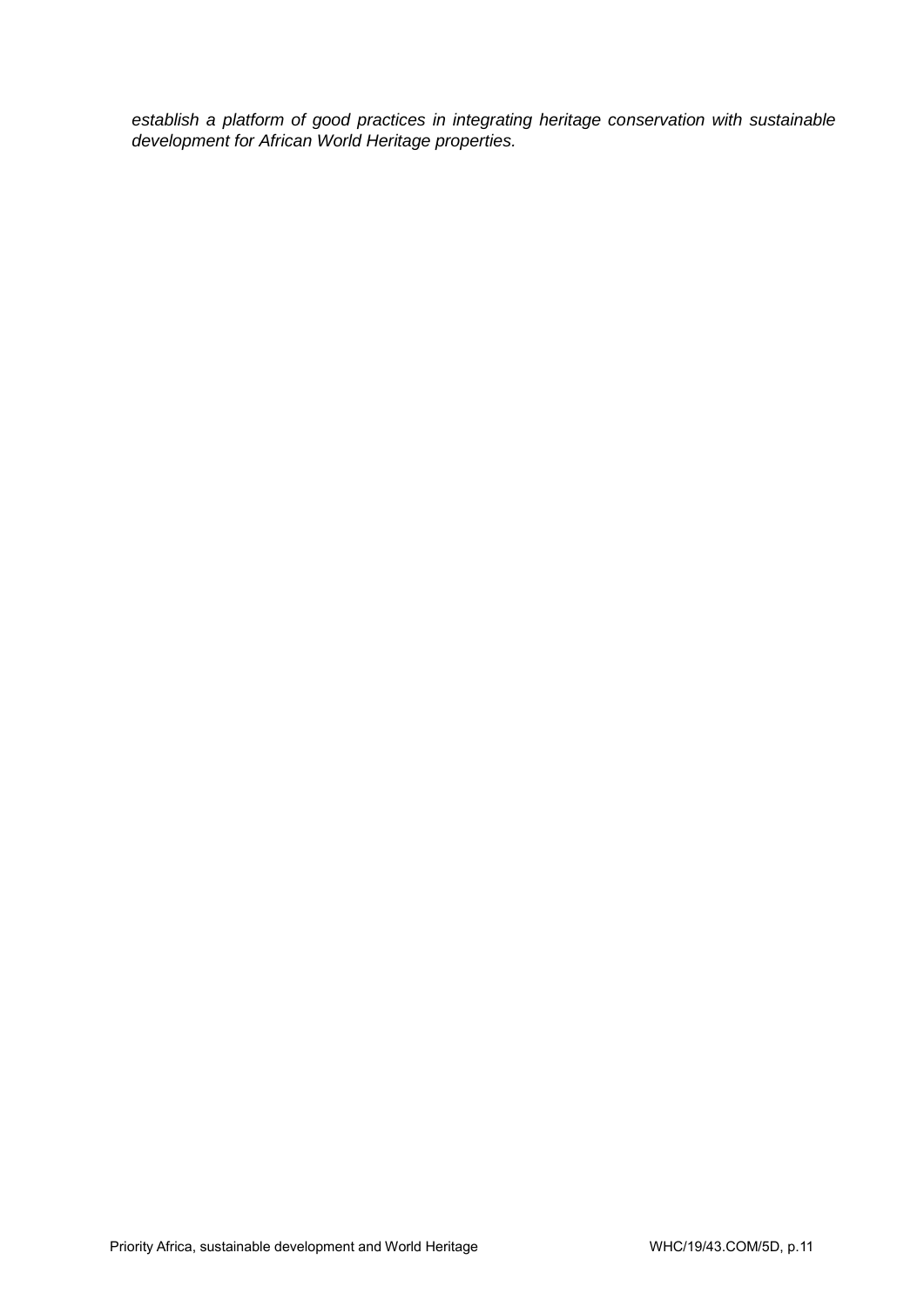*establish a platform of good practices in integrating heritage conservation with sustainable development for African World Heritage properties.*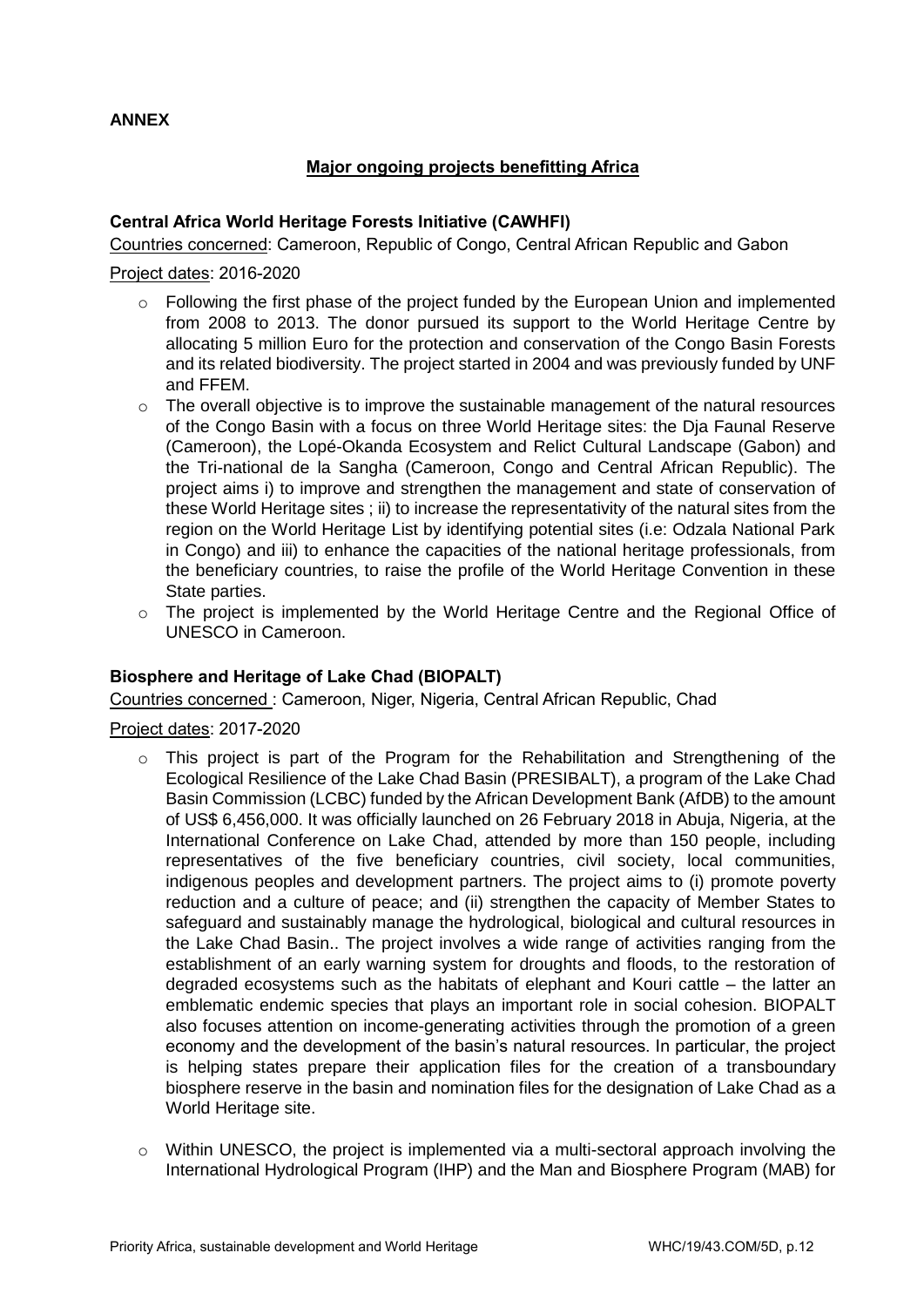## **ANNEX**

## **Major ongoing projects benefitting Africa**

## **Central Africa World Heritage Forests Initiative (CAWHFI)**

Countries concerned: Cameroon, Republic of Congo, Central African Republic and Gabon

#### Project dates: 2016-2020

- o Following the first phase of the project funded by the European Union and implemented from 2008 to 2013. The donor pursued its support to the World Heritage Centre by allocating 5 million Euro for the protection and conservation of the Congo Basin Forests and its related biodiversity. The project started in 2004 and was previously funded by UNF and FFEM.
- $\circ$  The overall objective is to improve the sustainable management of the natural resources of the Congo Basin with a focus on three World Heritage sites: the Dja Faunal Reserve (Cameroon), the Lopé-Okanda Ecosystem and Relict Cultural Landscape (Gabon) and the Tri-national de la Sangha (Cameroon, Congo and Central African Republic). The project aims i) to improve and strengthen the management and state of conservation of these World Heritage sites ; ii) to increase the representativity of the natural sites from the region on the World Heritage List by identifying potential sites (i.e: Odzala National Park in Congo) and iii) to enhance the capacities of the national heritage professionals, from the beneficiary countries, to raise the profile of the World Heritage Convention in these State parties.
- o The project is implemented by the World Heritage Centre and the Regional Office of UNESCO in Cameroon.

## **Biosphere and Heritage of Lake Chad (BIOPALT)**

Countries concerned : Cameroon, Niger, Nigeria, Central African Republic, Chad

#### Project dates: 2017-2020

- $\circ$  This project is part of the Program for the Rehabilitation and Strengthening of the Ecological Resilience of the Lake Chad Basin (PRESIBALT), a program of the Lake Chad Basin Commission (LCBC) funded by the African Development Bank (AfDB) to the amount of US\$ 6,456,000. It was officially launched on 26 February 2018 in Abuja, Nigeria, at the International Conference on Lake Chad, attended by more than 150 people, including representatives of the five beneficiary countries, civil society, local communities, indigenous peoples and development partners. The project aims to (i) promote poverty reduction and a culture of peace; and (ii) strengthen the capacity of Member States to safeguard and sustainably manage the hydrological, biological and cultural resources in the Lake Chad Basin.. The project involves a wide range of activities ranging from the establishment of an early warning system for droughts and floods, to the restoration of degraded ecosystems such as the habitats of elephant and Kouri cattle – the latter an emblematic endemic species that plays an important role in social cohesion. BIOPALT also focuses attention on income-generating activities through the promotion of a green economy and the development of the basin's natural resources. In particular, the project is helping states prepare their application files for the creation of a transboundary biosphere reserve in the basin and nomination files for the designation of Lake Chad as a World Heritage site.
- $\circ$  Within UNESCO, the project is implemented via a multi-sectoral approach involving the International Hydrological Program (IHP) and the Man and Biosphere Program (MAB) for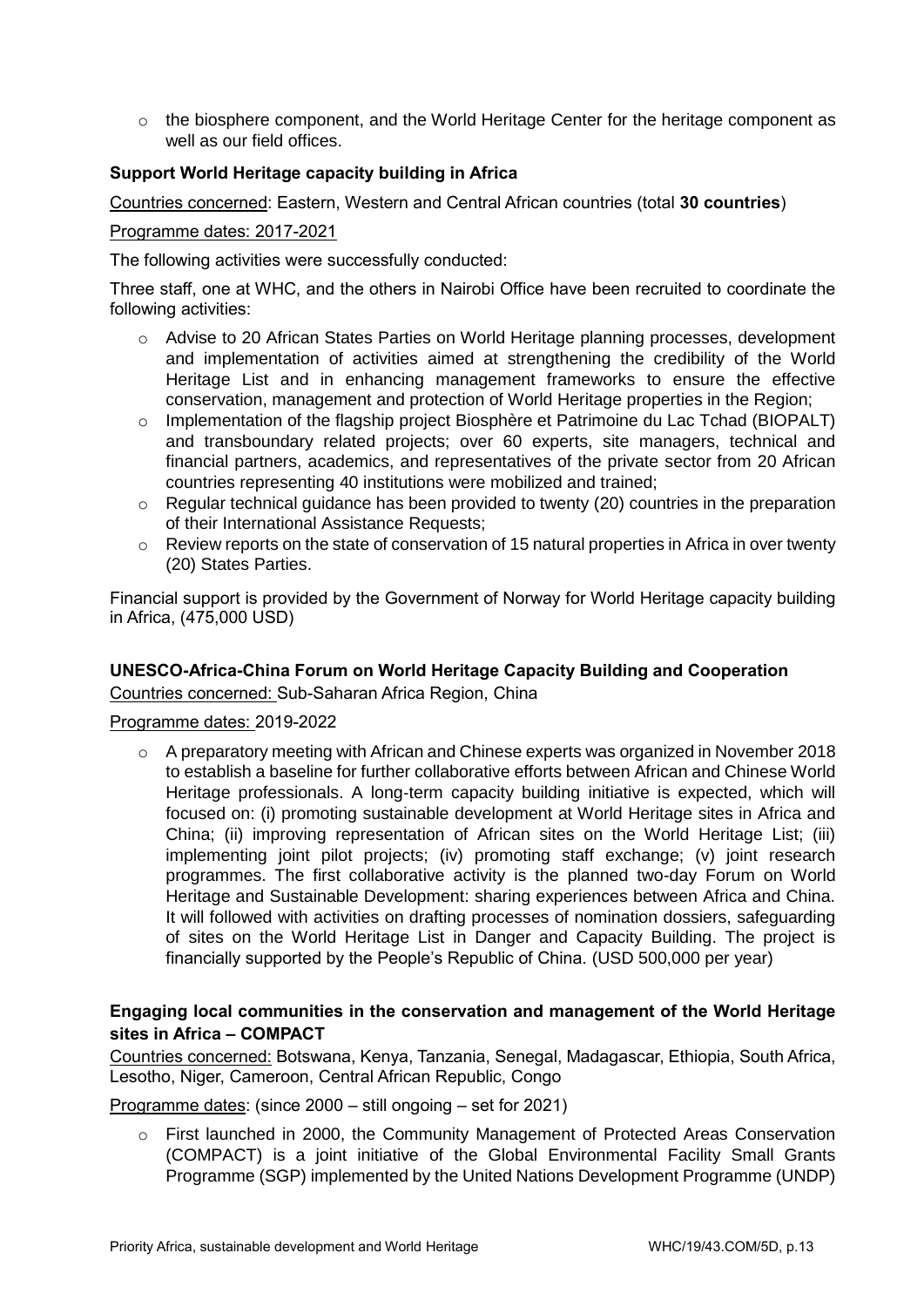o the biosphere component, and the World Heritage Center for the heritage component as well as our field offices.

## **Support World Heritage capacity building in Africa**

Countries concerned: Eastern, Western and Central African countries (total **30 countries**)

#### Programme dates: 2017-2021

The following activities were successfully conducted:

Three staff, one at WHC, and the others in Nairobi Office have been recruited to coordinate the following activities:

- o Advise to 20 African States Parties on World Heritage planning processes, development and implementation of activities aimed at strengthening the credibility of the World Heritage List and in enhancing management frameworks to ensure the effective conservation, management and protection of World Heritage properties in the Region;
- o Implementation of the flagship project Biosphère et Patrimoine du Lac Tchad (BIOPALT) and transboundary related projects; over 60 experts, site managers, technical and financial partners, academics, and representatives of the private sector from 20 African countries representing 40 institutions were mobilized and trained;
- o Regular technical guidance has been provided to twenty (20) countries in the preparation of their International Assistance Requests;
- $\circ$  Review reports on the state of conservation of 15 natural properties in Africa in over twenty (20) States Parties.

Financial support is provided by the Government of Norway for World Heritage capacity building in Africa, (475,000 USD)

## **UNESCO-Africa-China Forum on World Heritage Capacity Building and Cooperation**

Countries concerned: Sub-Saharan Africa Region, China

Programme dates: 2019-2022

 $\circ$  A preparatory meeting with African and Chinese experts was organized in November 2018 to establish a baseline for further collaborative efforts between African and Chinese World Heritage professionals. A long-term capacity building initiative is expected, which will focused on: (i) promoting sustainable development at World Heritage sites in Africa and China; (ii) improving representation of African sites on the World Heritage List; (iii) implementing joint pilot projects; (iv) promoting staff exchange; (v) joint research programmes. The first collaborative activity is the planned two-day Forum on World Heritage and Sustainable Development: sharing experiences between Africa and China. It will followed with activities on drafting processes of nomination dossiers, safeguarding of sites on the World Heritage List in Danger and Capacity Building. The project is financially supported by the People's Republic of China. (USD 500,000 per year)

## **Engaging local communities in the conservation and management of the World Heritage sites in Africa – COMPACT**

Countries concerned: Botswana, Kenya, Tanzania, Senegal, Madagascar, Ethiopia, South Africa, Lesotho, Niger, Cameroon, Central African Republic, Congo

Programme dates: (since 2000 – still ongoing – set for 2021)

o First launched in 2000, the Community Management of Protected Areas Conservation (COMPACT) is a joint initiative of the Global Environmental Facility Small Grants Programme (SGP) implemented by the United Nations Development Programme (UNDP)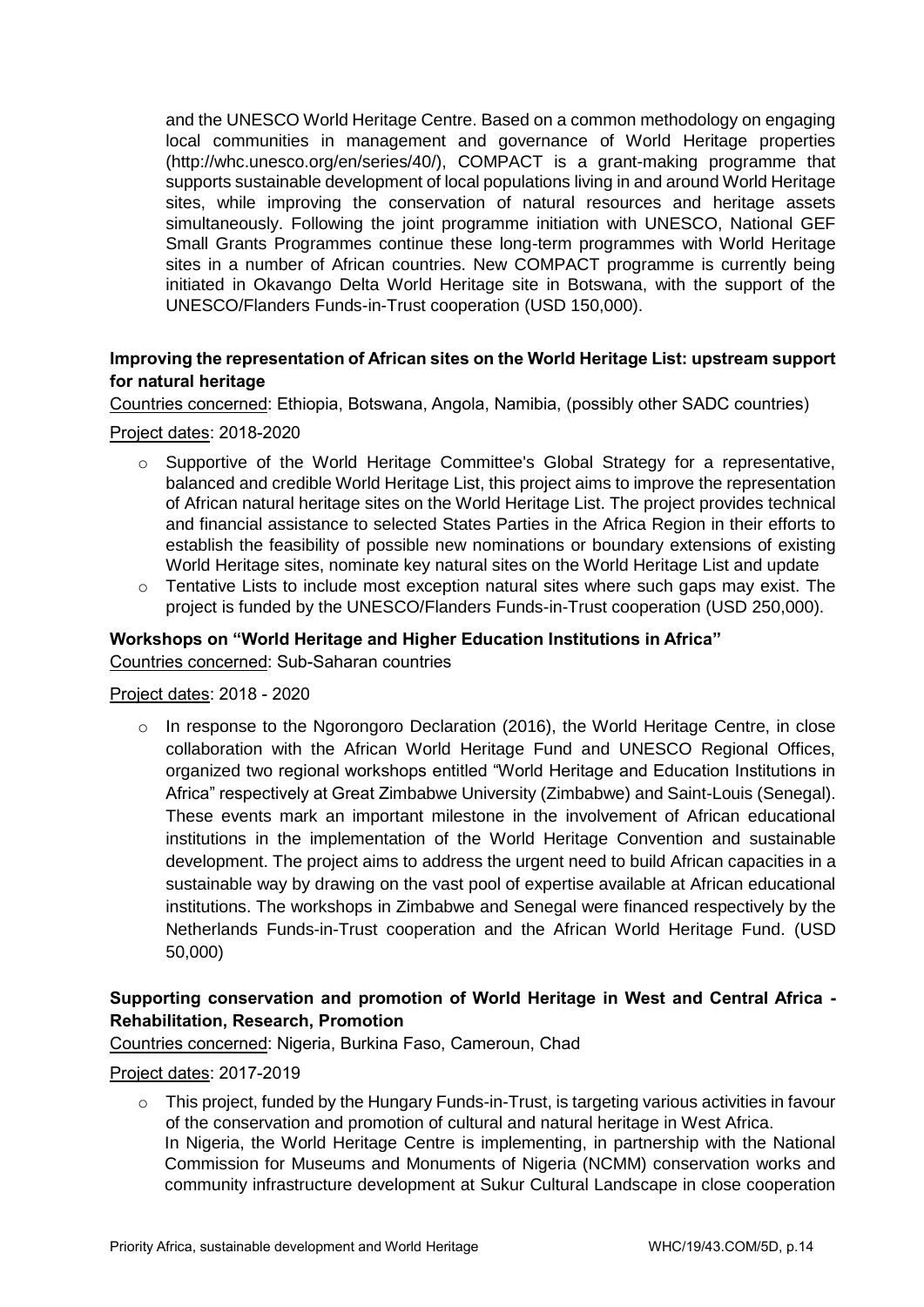and the UNESCO World Heritage Centre. Based on a common methodology on engaging local communities in management and governance of World Heritage properties [\(http://whc.unesco.org/en/series/40/\)](http://whc.unesco.org/en/series/40/), COMPACT is a grant-making programme that supports sustainable development of local populations living in and around World Heritage sites, while improving the conservation of natural resources and heritage assets simultaneously. Following the joint programme initiation with UNESCO, National GEF Small Grants Programmes continue these long-term programmes with World Heritage sites in a number of African countries. New COMPACT programme is currently being initiated in Okavango Delta World Heritage site in Botswana, with the support of the UNESCO/Flanders Funds-in-Trust cooperation (USD 150,000).

## **Improving the representation of African sites on the World Heritage List: upstream support for natural heritage**

Countries concerned: Ethiopia, Botswana, Angola, Namibia, (possibly other SADC countries)

#### Project dates: 2018-2020

- $\circ$  Supportive of the World Heritage Committee's Global Strategy for a representative, balanced and credible World Heritage List, this project aims to improve the representation of African natural heritage sites on the World Heritage List. The project provides technical and financial assistance to selected States Parties in the Africa Region in their efforts to establish the feasibility of possible new nominations or boundary extensions of existing World Heritage sites, nominate key natural sites on the World Heritage List and update
- o Tentative Lists to include most exception natural sites where such gaps may exist. The project is funded by the UNESCO/Flanders Funds-in-Trust cooperation (USD 250,000).

#### **Workshops on "World Heritage and Higher Education Institutions in Africa"** Countries concerned: Sub-Saharan countries

#### Project dates: 2018 - 2020

 $\circ$  In response to the Ngorongoro Declaration (2016), the World Heritage Centre, in close collaboration with the African World Heritage Fund and UNESCO Regional Offices, organized two regional workshops entitled "World Heritage and Education Institutions in Africa" respectively at Great Zimbabwe University (Zimbabwe) and Saint-Louis (Senegal). These events mark an important milestone in the involvement of African educational institutions in the implementation of the World Heritage Convention and sustainable development. The project aims to address the urgent need to build African capacities in a sustainable way by drawing on the vast pool of expertise available at African educational institutions. The workshops in Zimbabwe and Senegal were financed respectively by the Netherlands Funds-in-Trust cooperation and the African World Heritage Fund. (USD 50,000)

# **Supporting conservation and promotion of World Heritage in West and Central Africa - Rehabilitation, Research, Promotion**

Countries concerned: Nigeria, Burkina Faso, Cameroun, Chad

#### Project dates: 2017-2019

 $\circ$  This project, funded by the Hungary Funds-in-Trust, is targeting various activities in favour of the conservation and promotion of cultural and natural heritage in West Africa. In Nigeria, the World Heritage Centre is implementing, in partnership with the National Commission for Museums and Monuments of Nigeria (NCMM) conservation works and community infrastructure development at Sukur Cultural Landscape in close cooperation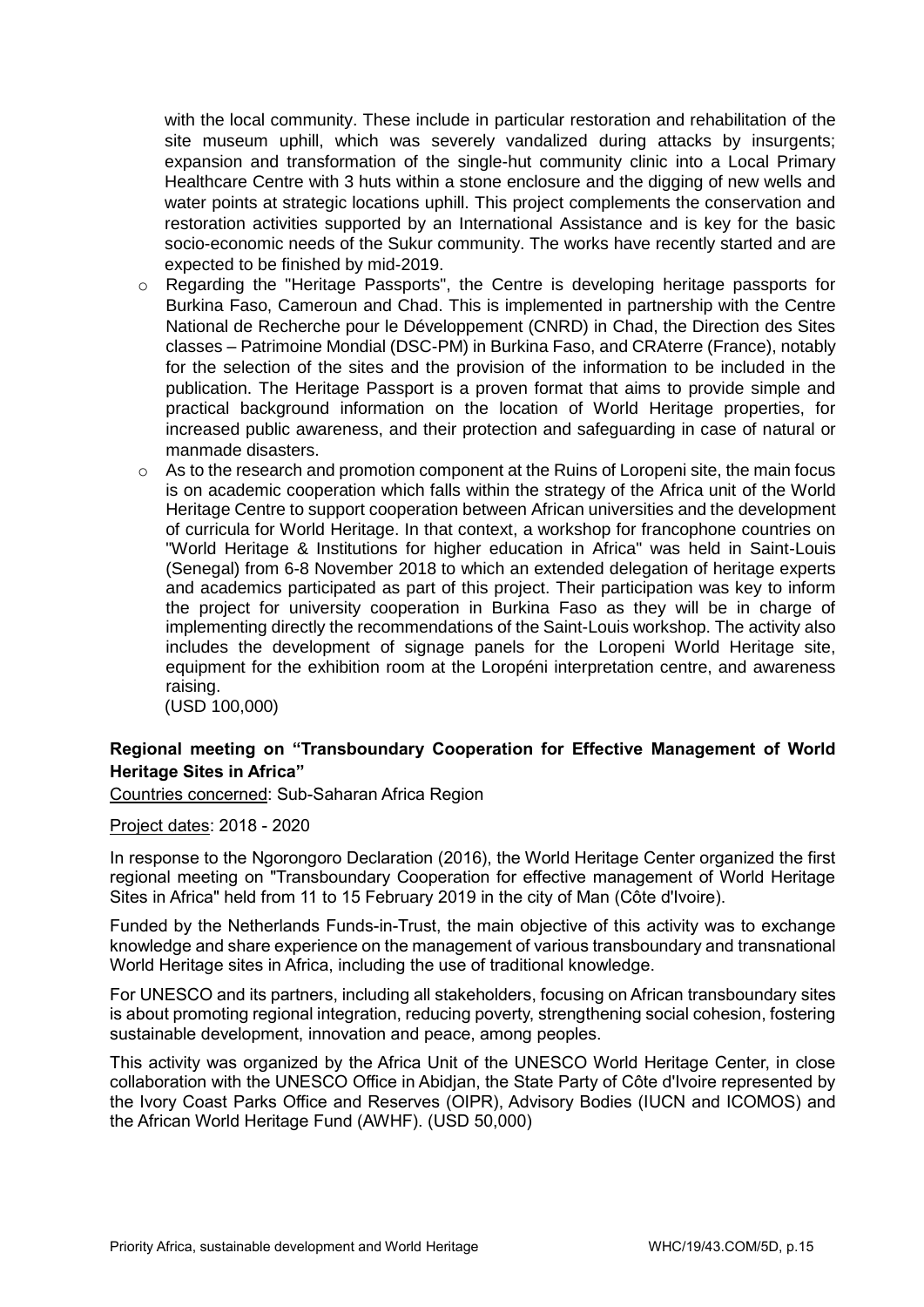with the local community. These include in particular restoration and rehabilitation of the site museum uphill, which was severely vandalized during attacks by insurgents; expansion and transformation of the single-hut community clinic into a Local Primary Healthcare Centre with 3 huts within a stone enclosure and the digging of new wells and water points at strategic locations uphill. This project complements the conservation and restoration activities supported by an International Assistance and is key for the basic socio-economic needs of the Sukur community. The works have recently started and are expected to be finished by mid-2019.

- o Regarding the "Heritage Passports", the Centre is developing heritage passports for Burkina Faso, Cameroun and Chad. This is implemented in partnership with the Centre National de Recherche pour le Développement (CNRD) in Chad, the Direction des Sites classes – Patrimoine Mondial (DSC-PM) in Burkina Faso, and CRAterre (France), notably for the selection of the sites and the provision of the information to be included in the publication. The Heritage Passport is a proven format that aims to provide simple and practical background information on the location of World Heritage properties, for increased public awareness, and their protection and safeguarding in case of natural or manmade disasters.
- o As to the research and promotion component at the Ruins of Loropeni site, the main focus is on academic cooperation which falls within the strategy of the Africa unit of the World Heritage Centre to support cooperation between African universities and the development of curricula for World Heritage. In that context, a workshop for francophone countries on "World Heritage & Institutions for higher education in Africa" was held in Saint-Louis (Senegal) from 6-8 November 2018 to which an extended delegation of heritage experts and academics participated as part of this project. Their participation was key to inform the project for university cooperation in Burkina Faso as they will be in charge of implementing directly the recommendations of the Saint-Louis workshop. The activity also includes the development of signage panels for the Loropeni World Heritage site, equipment for the exhibition room at the Loropéni interpretation centre, and awareness raising.

(USD 100,000)

## **Regional meeting on "Transboundary Cooperation for Effective Management of World Heritage Sites in Africa"**

Countries concerned: Sub-Saharan Africa Region

#### Project dates: 2018 - 2020

In response to the [Ngorongoro](https://whc.unesco.org/document/142094) Declaration (2016), the World Heritage Center organized the first regional meeting on "Transboundary Cooperation for effective management of World Heritage Sites in Africa" held from 11 to 15 February 2019 in the city of Man (Côte d'Ivoire).

Funded by the Netherlands Funds-in-Trust, the main objective of this activity was to exchange knowledge and share experience on the management of various transboundary and transnational World Heritage sites in Africa, including the use of traditional knowledge.

For UNESCO and its partners, including all stakeholders, focusing on African transboundary sites is about promoting regional integration, reducing poverty, strengthening social cohesion, fostering sustainable development, innovation and peace, among peoples.

This activity was organized by the Africa Unit of the UNESCO World Heritage Center, in close collaboration with the UNESCO Office in Abidjan, the State Party of Côte d'Ivoire represented by the Ivory Coast Parks Office and Reserves (OIPR), Advisory Bodies (IUCN and ICOMOS) and the African World Heritage Fund (AWHF). (USD 50,000)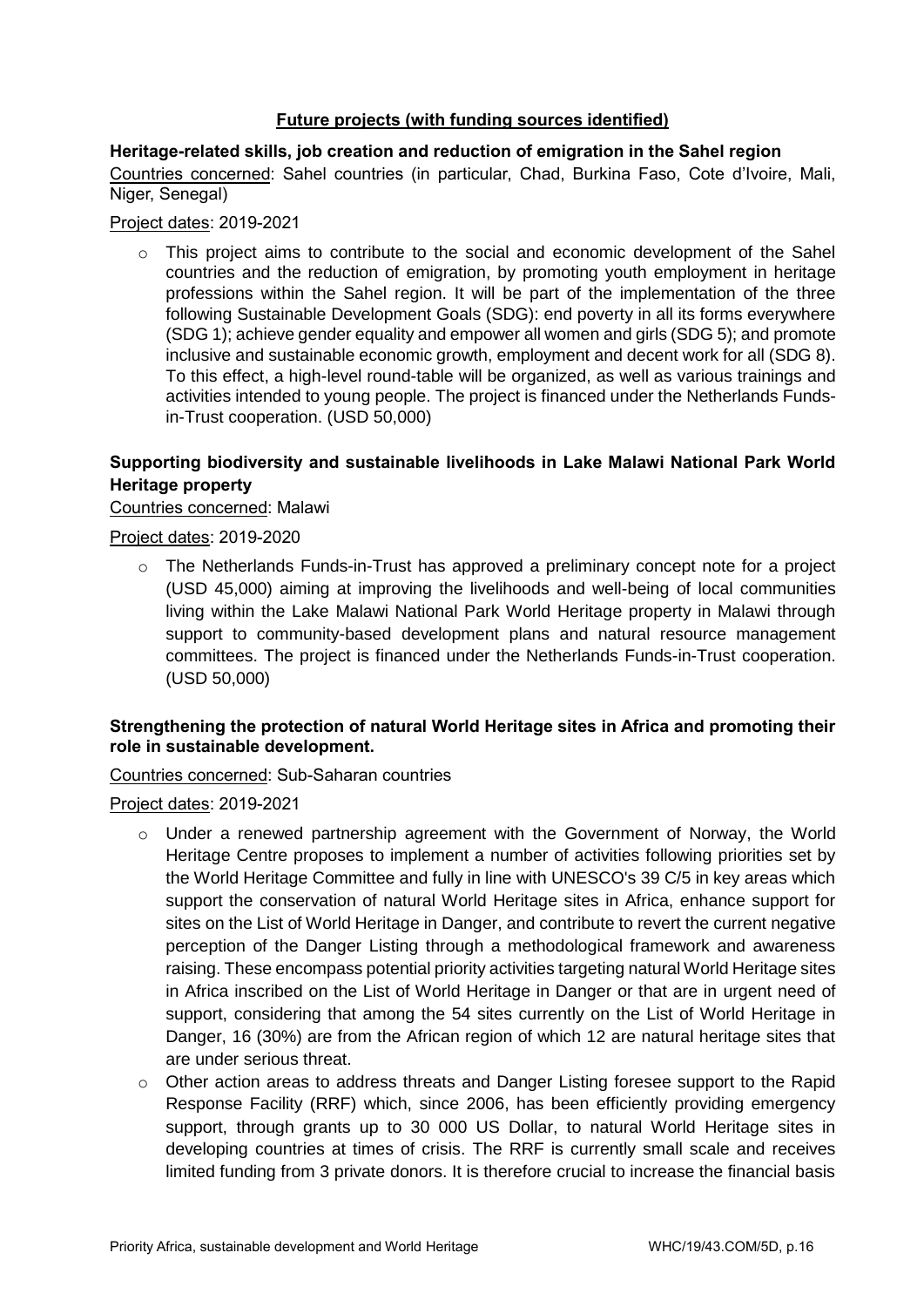## **Future projects (with funding sources identified)**

**Heritage-related skills, job creation and reduction of emigration in the Sahel region** Countries concerned: Sahel countries (in particular, Chad, Burkina Faso, Cote d'Ivoire, Mali, Niger, Senegal)

## Project dates: 2019-2021

o This project aims to contribute to the social and economic development of the Sahel countries and the reduction of emigration, by promoting youth employment in heritage professions within the Sahel region. It will be part of the implementation of the three following Sustainable Development Goals (SDG): end poverty in all its forms everywhere (SDG 1); achieve gender equality and empower all women and girls (SDG 5); and promote inclusive and sustainable economic growth, employment and decent work for all (SDG 8). To this effect, a high-level round-table will be organized, as well as various trainings and activities intended to young people. The project is financed under the Netherlands Fundsin-Trust cooperation. (USD 50,000)

## **Supporting biodiversity and sustainable livelihoods in Lake Malawi National Park World Heritage property**

## Countries concerned: Malawi

Project dates: 2019-2020

 $\circ$  The Netherlands Funds-in-Trust has approved a preliminary concept note for a project (USD 45,000) aiming at improving the livelihoods and well-being of local communities living within the Lake Malawi National Park World Heritage property in Malawi through support to community-based development plans and natural resource management committees. The project is financed under the Netherlands Funds-in-Trust cooperation. (USD 50,000)

## **Strengthening the protection of natural World Heritage sites in Africa and promoting their role in sustainable development.**

Countries concerned: Sub-Saharan countries

## Project dates: 2019-2021

- o Under a renewed partnership agreement with the Government of Norway, the World Heritage Centre proposes to implement a number of activities following priorities set by the World Heritage Committee and fully in line with UNESCO's 39 C/5 in key areas which support the conservation of natural World Heritage sites in Africa, enhance support for sites on the List of World Heritage in Danger, and contribute to revert the current negative perception of the Danger Listing through a methodological framework and awareness raising. These encompass potential priority activities targeting natural World Heritage sites in Africa inscribed on the List of World Heritage in Danger or that are in urgent need of support, considering that among the 54 sites currently on the List of World Heritage in Danger, 16 (30%) are from the African region of which 12 are natural heritage sites that are under serious threat.
- o Other action areas to address threats and Danger Listing foresee support to the Rapid Response Facility (RRF) which, since 2006, has been efficiently providing emergency support, through grants up to 30 000 US Dollar, to natural World Heritage sites in developing countries at times of crisis. The RRF is currently small scale and receives limited funding from 3 private donors. It is therefore crucial to increase the financial basis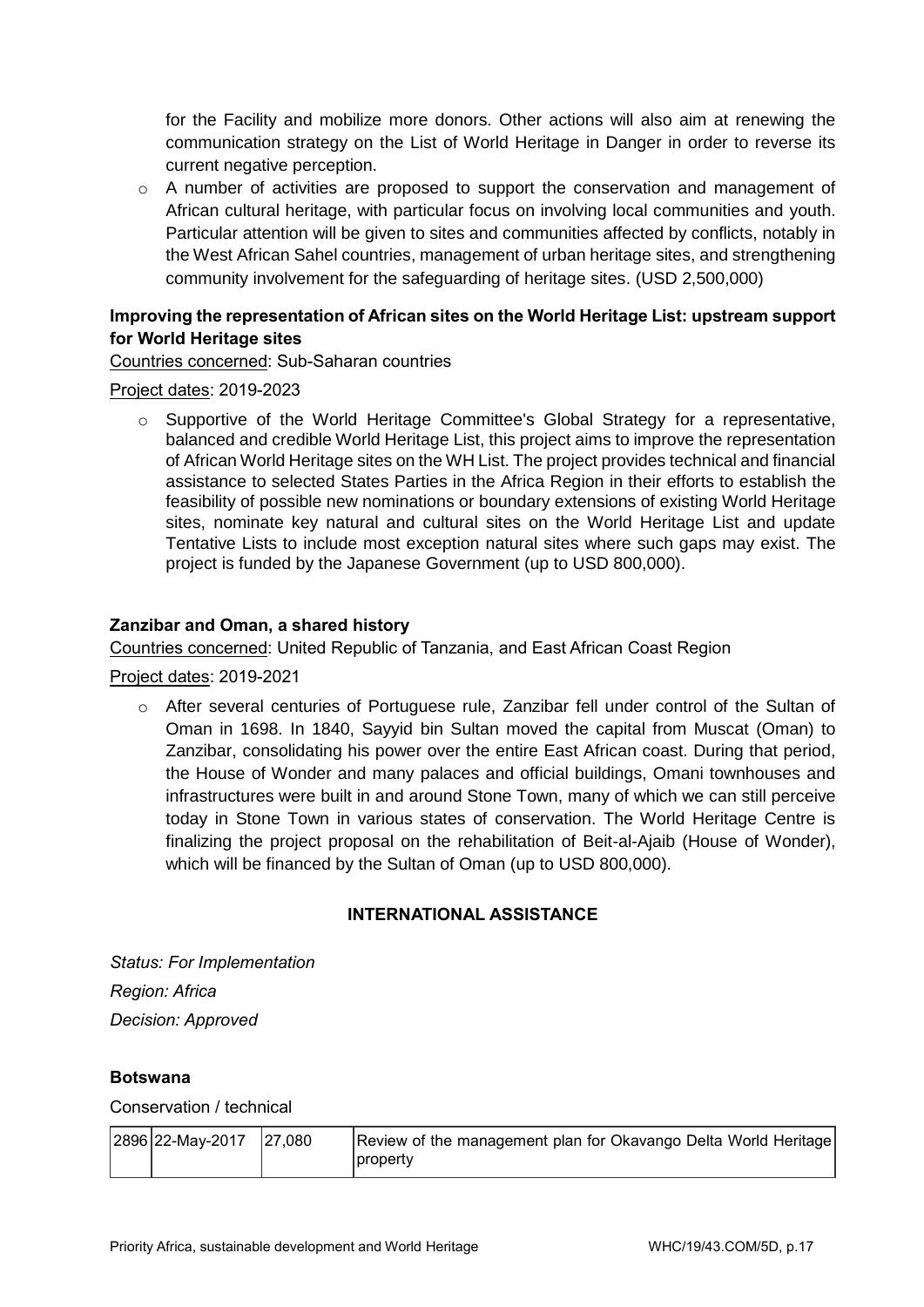for the Facility and mobilize more donors. Other actions will also aim at renewing the communication strategy on the List of World Heritage in Danger in order to reverse its current negative perception.

 $\circ$  A number of activities are proposed to support the conservation and management of African cultural heritage, with particular focus on involving local communities and youth. Particular attention will be given to sites and communities affected by conflicts, notably in the West African Sahel countries, management of urban heritage sites, and strengthening community involvement for the safeguarding of heritage sites. (USD 2,500,000)

# **Improving the representation of African sites on the World Heritage List: upstream support for World Heritage sites**

Countries concerned: Sub-Saharan countries

## Project dates: 2019-2023

o Supportive of the World Heritage Committee's Global Strategy for a representative, balanced and credible World Heritage List, this project aims to improve the representation of African World Heritage sites on the WH List. The project provides technical and financial assistance to selected States Parties in the Africa Region in their efforts to establish the feasibility of possible new nominations or boundary extensions of existing World Heritage sites, nominate key natural and cultural sites on the World Heritage List and update Tentative Lists to include most exception natural sites where such gaps may exist. The project is funded by the Japanese Government (up to USD 800,000).

## **Zanzibar and Oman, a shared history**

Countries concerned: United Republic of Tanzania, and East African Coast Region

Project dates: 2019-2021

o After several centuries of Portuguese rule, Zanzibar fell under control of the Sultan of Oman in 1698. In 1840, Sayyid bin Sultan moved the capital from Muscat (Oman) to Zanzibar, consolidating his power over the entire East African coast. During that period, the House of Wonder and many palaces and official buildings, Omani townhouses and infrastructures were built in and around Stone Town, many of which we can still perceive today in Stone Town in various states of conservation. The World Heritage Centre is finalizing the project proposal on the rehabilitation of Beit-al-Ajaib (House of Wonder), which will be financed by the Sultan of Oman (up to USD 800,000).

## **INTERNATIONAL ASSISTANCE**

*Status: For Implementation Region: Africa Decision: Approved* 

## **Botswana**

Conservation / technical

|  | $ 2896 22$ -May-2017 27,080 |  | Review of the management plan for Okavango Delta World Heritage<br> property |
|--|-----------------------------|--|------------------------------------------------------------------------------|
|--|-----------------------------|--|------------------------------------------------------------------------------|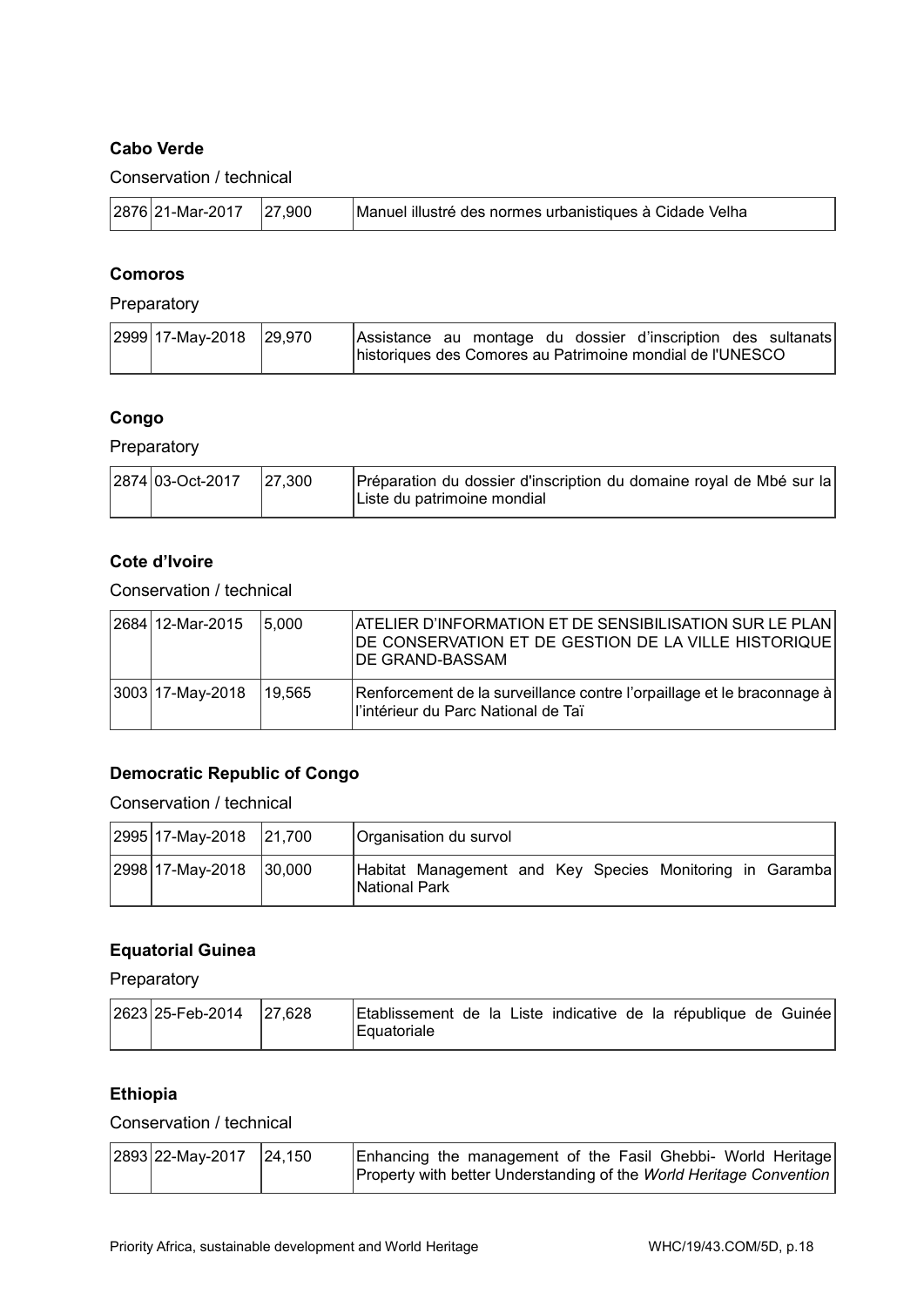## **Cabo Verde**

Conservation / technical

|  | $ 2876 21$ -Mar-2017 27,900 |  | Manuel illustré des normes urbanistiques à Cidade Velha |
|--|-----------------------------|--|---------------------------------------------------------|
|--|-----------------------------|--|---------------------------------------------------------|

## **Comoros**

## Preparatory

| 2999 17-May-2018 29,970 |  |  |  | Assistance au montage du dossier d'inscription des sultanats |  |
|-------------------------|--|--|--|--------------------------------------------------------------|--|
|                         |  |  |  | historiques des Comores au Patrimoine mondial de l'UNESCO    |  |

# **Congo**

Preparatory

| 2874 03-Oct-2017 | 27.300 | Préparation du dossier d'inscription du domaine royal de Mbé sur la |
|------------------|--------|---------------------------------------------------------------------|
|                  |        | IListe du patrimoine mondial                                        |

## **Cote d'Ivoire**

Conservation / technical

| 2684 12-Mar-2015    | 15.000 | ATELIER D'INFORMATION ET DE SENSIBILISATION SUR LE PLAN<br>DE CONSERVATION ET DE GESTION DE LA VILLE HISTORIQUE<br><b>DE GRAND-BASSAM</b> |
|---------------------|--------|-------------------------------------------------------------------------------------------------------------------------------------------|
| $ 3003 17-May-2018$ | 19.565 | Renforcement de la surveillance contre l'orpaillage et le braconnage à<br>ll'intérieur du Parc National de Taï                            |

# **Democratic Republic of Congo**

Conservation / technical

| 2995 17-May-2018 21,700 |         | Organisation du survol                                                           |
|-------------------------|---------|----------------------------------------------------------------------------------|
| 2998 17-May-2018        | 130.000 | Habitat Management and Key Species Monitoring in Garamba<br><b>National Park</b> |

## **Equatorial Guinea**

Preparatory

| 2623 25-Feb-2014 | 27,628 | Etablissement de la Liste indicative de la république de Guinée |  |  |  |  |  |
|------------------|--------|-----------------------------------------------------------------|--|--|--|--|--|
|                  |        | l Equatoriale                                                   |  |  |  |  |  |

#### **Ethiopia**

Conservation / technical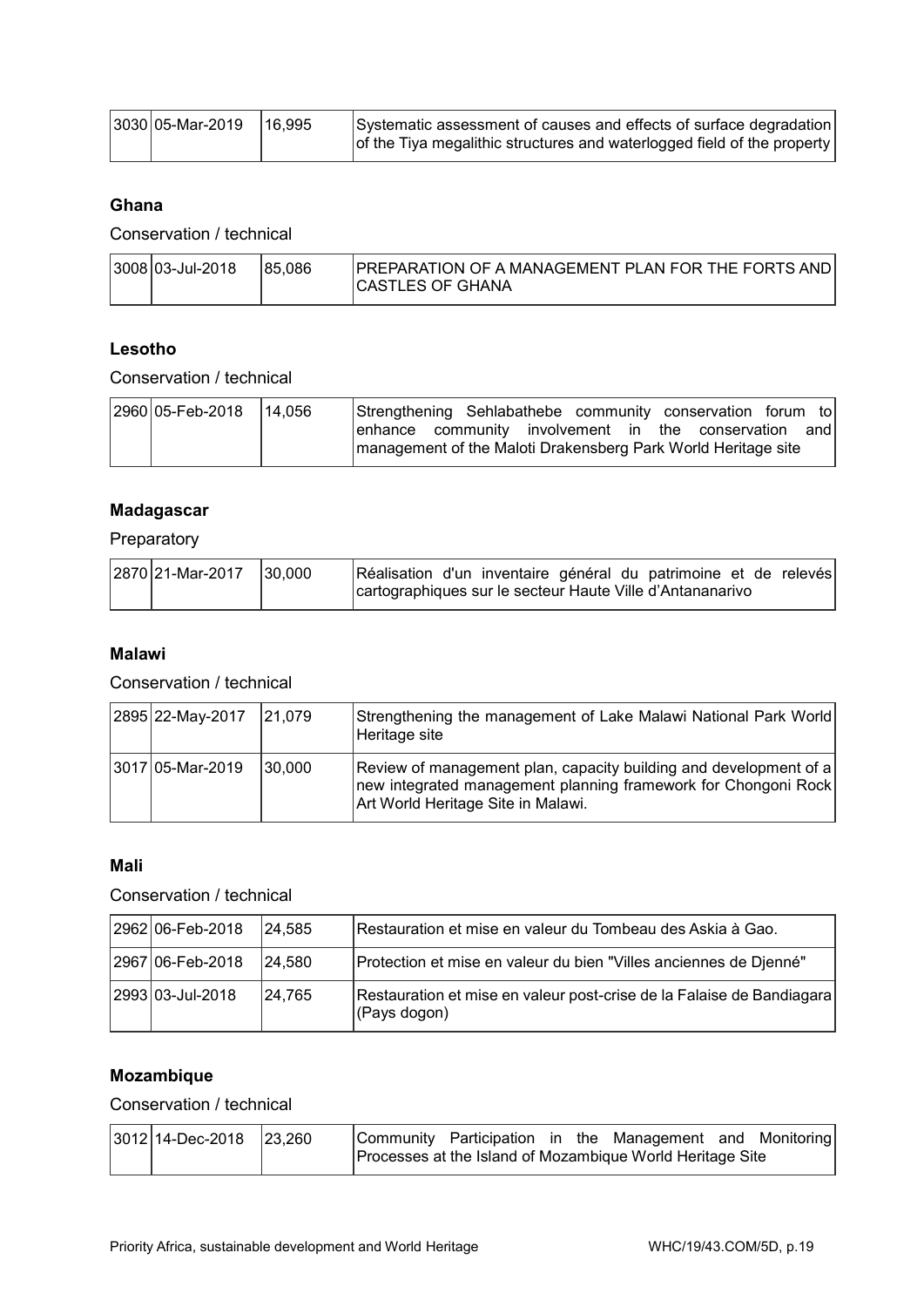| $ 3030 05$ -Mar-2019   16,995 | Systematic assessment of causes and effects of surface degradation      |
|-------------------------------|-------------------------------------------------------------------------|
|                               | of the Tiya megalithic structures and waterlogged field of the property |

## **Ghana**

Conservation / technical

|  | $ 3008 03 -$ Jul-2018 | 185.086 | <b>IPREPARATION OF A MANAGEMENT PLAN FOR THE FORTS AND</b><br>ICASTLES OF GHANA |
|--|-----------------------|---------|---------------------------------------------------------------------------------|
|--|-----------------------|---------|---------------------------------------------------------------------------------|

## **Lesotho**

Conservation / technical

| 2960 05-Feb-2018 14,056 | Strengthening Sehlabathebe community conservation forum to                                                             |  |  |  |  |  |
|-------------------------|------------------------------------------------------------------------------------------------------------------------|--|--|--|--|--|
|                         | enhance community involvement in the conservation and<br>management of the Maloti Drakensberg Park World Heritage site |  |  |  |  |  |
|                         |                                                                                                                        |  |  |  |  |  |

# **Madagascar**

Preparatory

| 2870 21-Mar-2017 | 30.000 | Réalisation d'un inventaire général du patrimoine et de relevés |  |  |  |  |
|------------------|--------|-----------------------------------------------------------------|--|--|--|--|
|                  |        | cartographiques sur le secteur Haute Ville d'Antananarivo       |  |  |  |  |

## **Malawi**

## Conservation / technical

| 2895 22-May-2017 | $ 21,079\rangle$ | Strengthening the management of Lake Malawi National Park World<br>Heritage site                                                                                          |
|------------------|------------------|---------------------------------------------------------------------------------------------------------------------------------------------------------------------------|
| 3017 05-Mar-2019 | 30,000           | Review of management plan, capacity building and development of a<br>new integrated management planning framework for Chongoni Rock<br>Art World Heritage Site in Malawi. |

# **Mali**

## Conservation / technical

| 2962 06-Feb-2018 | 24.585  | Restauration et mise en valeur du Tombeau des Askia à Gao.                            |
|------------------|---------|---------------------------------------------------------------------------------------|
| 2967 06-Feb-2018 | 124.580 | Protection et mise en valeur du bien "Villes anciennes de Djenné"                     |
| 2993 03-Jul-2018 | 24,765  | Restauration et mise en valeur post-crise de la Falaise de Bandiagara<br>(Pays dogon) |

# **Mozambique**

## Conservation / technical

| $ 3012 14$ -Dec-2018 $ 23,260 $ |  |  | Community Participation in the Management and Monitoring  |  |
|---------------------------------|--|--|-----------------------------------------------------------|--|
|                                 |  |  | Processes at the Island of Mozambique World Heritage Site |  |